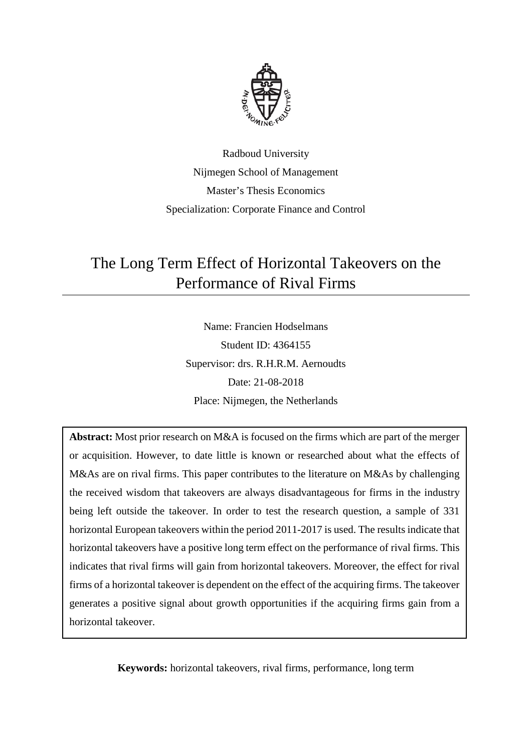

Radboud University Nijmegen School of Management Master's Thesis Economics Specialization: Corporate Finance and Control

## The Long Term Effect of Horizontal Takeovers on the Performance of Rival Firms

Name: Francien Hodselmans Student ID: 4364155 Supervisor: drs. R.H.R.M. Aernoudts Date: 21-08-2018 Place: Nijmegen, the Netherlands

**Abstract:** Most prior research on M&A is focused on the firms which are part of the merger or acquisition. However, to date little is known or researched about what the effects of M&As are on rival firms. This paper contributes to the literature on M&As by challenging the received wisdom that takeovers are always disadvantageous for firms in the industry being left outside the takeover. In order to test the research question, a sample of 331 horizontal European takeovers within the period 2011-2017 is used. The results indicate that horizontal takeovers have a positive long term effect on the performance of rival firms. This indicates that rival firms will gain from horizontal takeovers. Moreover, the effect for rival firms of a horizontal takeover is dependent on the effect of the acquiring firms. The takeover generates a positive signal about growth opportunities if the acquiring firms gain from a horizontal takeover.

**Keywords:** horizontal takeovers, rival firms, performance, long term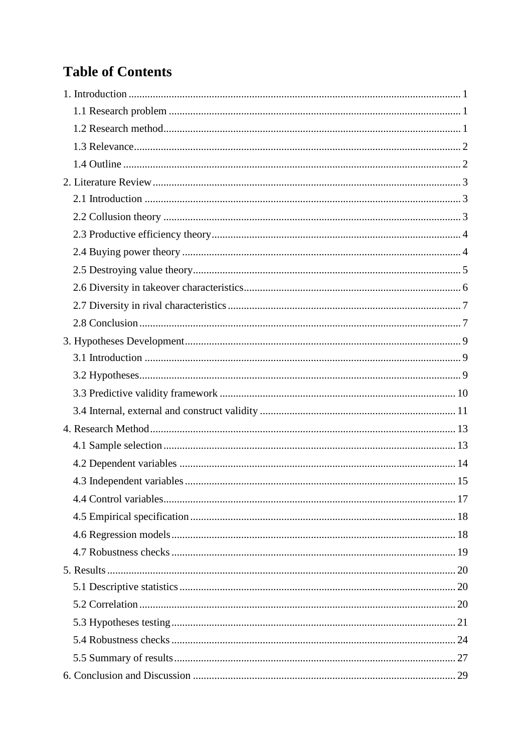## **Table of Contents**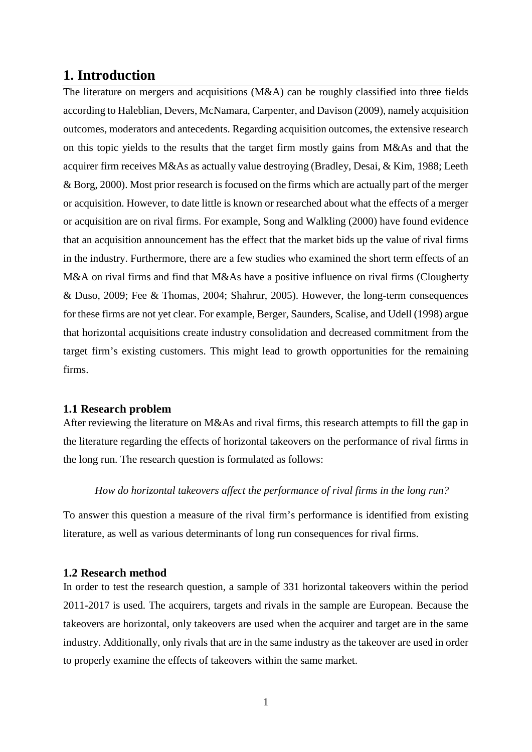### <span id="page-3-0"></span>**1. Introduction**

The literature on mergers and acquisitions (M&A) can be roughly classified into three fields according to Haleblian, Devers, McNamara, Carpenter, and Davison (2009), namely acquisition outcomes, moderators and antecedents. Regarding acquisition outcomes, the extensive research on this topic yields to the results that the target firm mostly gains from M&As and that the acquirer firm receives M&As as actually value destroying (Bradley, Desai, & Kim, 1988; Leeth & Borg, 2000). Most prior research is focused on the firms which are actually part of the merger or acquisition. However, to date little is known or researched about what the effects of a merger or acquisition are on rival firms. For example, Song and Walkling (2000) have found evidence that an acquisition announcement has the effect that the market bids up the value of rival firms in the industry. Furthermore, there are a few studies who examined the short term effects of an M&A on rival firms and find that M&As have a positive influence on rival firms (Clougherty & Duso, 2009; Fee & Thomas, 2004; Shahrur, 2005). However, the long-term consequences for these firms are not yet clear. For example, Berger, Saunders, Scalise, and Udell (1998) argue that horizontal acquisitions create industry consolidation and decreased commitment from the target firm's existing customers. This might lead to growth opportunities for the remaining firms.

#### <span id="page-3-1"></span>**1.1 Research problem**

After reviewing the literature on M&As and rival firms, this research attempts to fill the gap in the literature regarding the effects of horizontal takeovers on the performance of rival firms in the long run. The research question is formulated as follows:

#### *How do horizontal takeovers affect the performance of rival firms in the long run?*

To answer this question a measure of the rival firm's performance is identified from existing literature, as well as various determinants of long run consequences for rival firms.

#### <span id="page-3-2"></span>**1.2 Research method**

In order to test the research question, a sample of 331 horizontal takeovers within the period 2011-2017 is used. The acquirers, targets and rivals in the sample are European. Because the takeovers are horizontal, only takeovers are used when the acquirer and target are in the same industry. Additionally, only rivals that are in the same industry as the takeover are used in order to properly examine the effects of takeovers within the same market.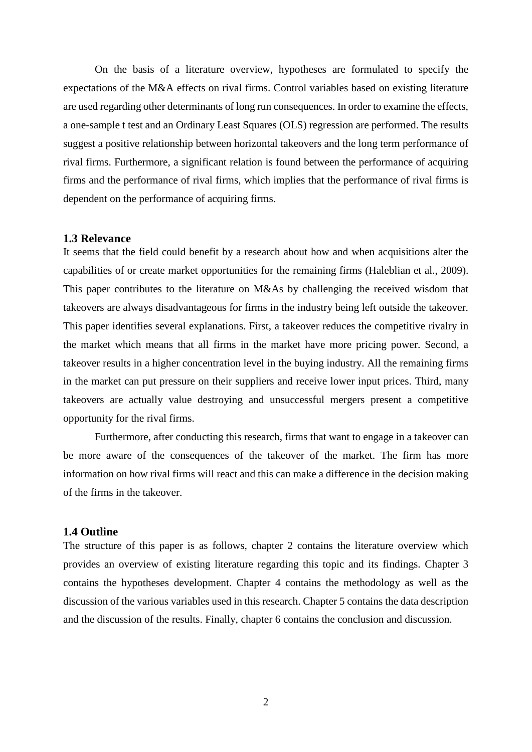On the basis of a literature overview, hypotheses are formulated to specify the expectations of the M&A effects on rival firms. Control variables based on existing literature are used regarding other determinants of long run consequences. In order to examine the effects, a one-sample t test and an Ordinary Least Squares (OLS) regression are performed. The results suggest a positive relationship between horizontal takeovers and the long term performance of rival firms. Furthermore, a significant relation is found between the performance of acquiring firms and the performance of rival firms, which implies that the performance of rival firms is dependent on the performance of acquiring firms.

#### <span id="page-4-0"></span>**1.3 Relevance**

It seems that the field could benefit by a research about how and when acquisitions alter the capabilities of or create market opportunities for the remaining firms (Haleblian et al., 2009). This paper contributes to the literature on M&As by challenging the received wisdom that takeovers are always disadvantageous for firms in the industry being left outside the takeover. This paper identifies several explanations. First, a takeover reduces the competitive rivalry in the market which means that all firms in the market have more pricing power. Second, a takeover results in a higher concentration level in the buying industry. All the remaining firms in the market can put pressure on their suppliers and receive lower input prices. Third, many takeovers are actually value destroying and unsuccessful mergers present a competitive opportunity for the rival firms.

Furthermore, after conducting this research, firms that want to engage in a takeover can be more aware of the consequences of the takeover of the market. The firm has more information on how rival firms will react and this can make a difference in the decision making of the firms in the takeover.

#### <span id="page-4-1"></span>**1.4 Outline**

The structure of this paper is as follows, chapter 2 contains the literature overview which provides an overview of existing literature regarding this topic and its findings. Chapter 3 contains the hypotheses development. Chapter 4 contains the methodology as well as the discussion of the various variables used in this research. Chapter 5 contains the data description and the discussion of the results. Finally, chapter 6 contains the conclusion and discussion.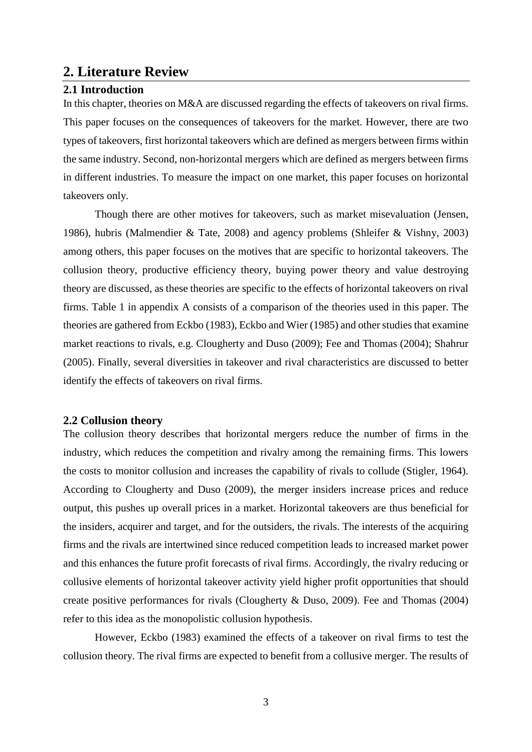## <span id="page-5-0"></span>**2. Literature Review**

#### <span id="page-5-1"></span>**2.1 Introduction**

In this chapter, theories on M&A are discussed regarding the effects of takeovers on rival firms. This paper focuses on the consequences of takeovers for the market. However, there are two types of takeovers, first horizontal takeovers which are defined as mergers between firms within the same industry. Second, non-horizontal mergers which are defined as mergers between firms in different industries. To measure the impact on one market, this paper focuses on horizontal takeovers only.

Though there are other motives for takeovers, such as market misevaluation (Jensen, 1986), hubris (Malmendier & Tate, 2008) and agency problems (Shleifer & Vishny, 2003) among others, this paper focuses on the motives that are specific to horizontal takeovers. The collusion theory, productive efficiency theory, buying power theory and value destroying theory are discussed, as these theories are specific to the effects of horizontal takeovers on rival firms. Table 1 in appendix A consists of a comparison of the theories used in this paper. The theories are gathered from Eckbo (1983), Eckbo and Wier (1985) and other studies that examine market reactions to rivals, e.g. Clougherty and Duso (2009); Fee and Thomas (2004); Shahrur (2005). Finally, several diversities in takeover and rival characteristics are discussed to better identify the effects of takeovers on rival firms.

#### <span id="page-5-2"></span>**2.2 Collusion theory**

The collusion theory describes that horizontal mergers reduce the number of firms in the industry, which reduces the competition and rivalry among the remaining firms. This lowers the costs to monitor collusion and increases the capability of rivals to collude (Stigler, 1964). According to Clougherty and Duso (2009), the merger insiders increase prices and reduce output, this pushes up overall prices in a market. Horizontal takeovers are thus beneficial for the insiders, acquirer and target, and for the outsiders, the rivals. The interests of the acquiring firms and the rivals are intertwined since reduced competition leads to increased market power and this enhances the future profit forecasts of rival firms. Accordingly, the rivalry reducing or collusive elements of horizontal takeover activity yield higher profit opportunities that should create positive performances for rivals (Clougherty & Duso, 2009). Fee and Thomas (2004) refer to this idea as the monopolistic collusion hypothesis.

However, Eckbo (1983) examined the effects of a takeover on rival firms to test the collusion theory. The rival firms are expected to benefit from a collusive merger. The results of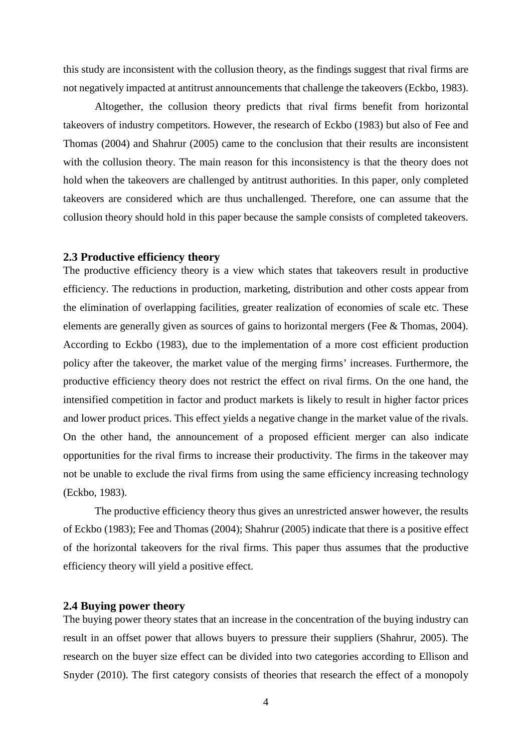this study are inconsistent with the collusion theory, as the findings suggest that rival firms are not negatively impacted at antitrust announcements that challenge the takeovers (Eckbo, 1983).

Altogether, the collusion theory predicts that rival firms benefit from horizontal takeovers of industry competitors. However, the research of Eckbo (1983) but also of Fee and Thomas (2004) and Shahrur (2005) came to the conclusion that their results are inconsistent with the collusion theory. The main reason for this inconsistency is that the theory does not hold when the takeovers are challenged by antitrust authorities. In this paper, only completed takeovers are considered which are thus unchallenged. Therefore, one can assume that the collusion theory should hold in this paper because the sample consists of completed takeovers.

#### <span id="page-6-0"></span>**2.3 Productive efficiency theory**

The productive efficiency theory is a view which states that takeovers result in productive efficiency. The reductions in production, marketing, distribution and other costs appear from the elimination of overlapping facilities, greater realization of economies of scale etc. These elements are generally given as sources of gains to horizontal mergers (Fee & Thomas, 2004). According to Eckbo (1983), due to the implementation of a more cost efficient production policy after the takeover, the market value of the merging firms' increases. Furthermore, the productive efficiency theory does not restrict the effect on rival firms. On the one hand, the intensified competition in factor and product markets is likely to result in higher factor prices and lower product prices. This effect yields a negative change in the market value of the rivals. On the other hand, the announcement of a proposed efficient merger can also indicate opportunities for the rival firms to increase their productivity. The firms in the takeover may not be unable to exclude the rival firms from using the same efficiency increasing technology (Eckbo, 1983).

The productive efficiency theory thus gives an unrestricted answer however, the results of Eckbo (1983); Fee and Thomas (2004); Shahrur (2005) indicate that there is a positive effect of the horizontal takeovers for the rival firms. This paper thus assumes that the productive efficiency theory will yield a positive effect.

#### <span id="page-6-1"></span>**2.4 Buying power theory**

The buying power theory states that an increase in the concentration of the buying industry can result in an offset power that allows buyers to pressure their suppliers (Shahrur, 2005). The research on the buyer size effect can be divided into two categories according to Ellison and Snyder (2010). The first category consists of theories that research the effect of a monopoly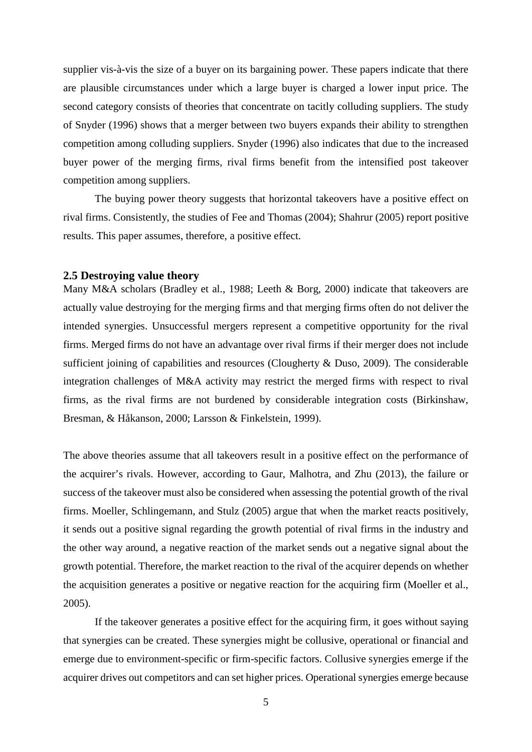supplier vis-à-vis the size of a buyer on its bargaining power. These papers indicate that there are plausible circumstances under which a large buyer is charged a lower input price. The second category consists of theories that concentrate on tacitly colluding suppliers. The study of Snyder (1996) shows that a merger between two buyers expands their ability to strengthen competition among colluding suppliers. Snyder (1996) also indicates that due to the increased buyer power of the merging firms, rival firms benefit from the intensified post takeover competition among suppliers.

The buying power theory suggests that horizontal takeovers have a positive effect on rival firms. Consistently, the studies of Fee and Thomas (2004); Shahrur (2005) report positive results. This paper assumes, therefore, a positive effect.

#### <span id="page-7-0"></span>**2.5 Destroying value theory**

Many M&A scholars (Bradley et al., 1988; Leeth & Borg, 2000) indicate that takeovers are actually value destroying for the merging firms and that merging firms often do not deliver the intended synergies. Unsuccessful mergers represent a competitive opportunity for the rival firms. Merged firms do not have an advantage over rival firms if their merger does not include sufficient joining of capabilities and resources (Clougherty & Duso, 2009). The considerable integration challenges of M&A activity may restrict the merged firms with respect to rival firms, as the rival firms are not burdened by considerable integration costs (Birkinshaw, Bresman, & Håkanson, 2000; Larsson & Finkelstein, 1999).

The above theories assume that all takeovers result in a positive effect on the performance of the acquirer's rivals. However, according to Gaur, Malhotra, and Zhu (2013), the failure or success of the takeover must also be considered when assessing the potential growth of the rival firms. Moeller, Schlingemann, and Stulz (2005) argue that when the market reacts positively, it sends out a positive signal regarding the growth potential of rival firms in the industry and the other way around, a negative reaction of the market sends out a negative signal about the growth potential. Therefore, the market reaction to the rival of the acquirer depends on whether the acquisition generates a positive or negative reaction for the acquiring firm (Moeller et al., 2005).

If the takeover generates a positive effect for the acquiring firm, it goes without saying that synergies can be created. These synergies might be collusive, operational or financial and emerge due to environment-specific or firm-specific factors. Collusive synergies emerge if the acquirer drives out competitors and can set higher prices. Operational synergies emerge because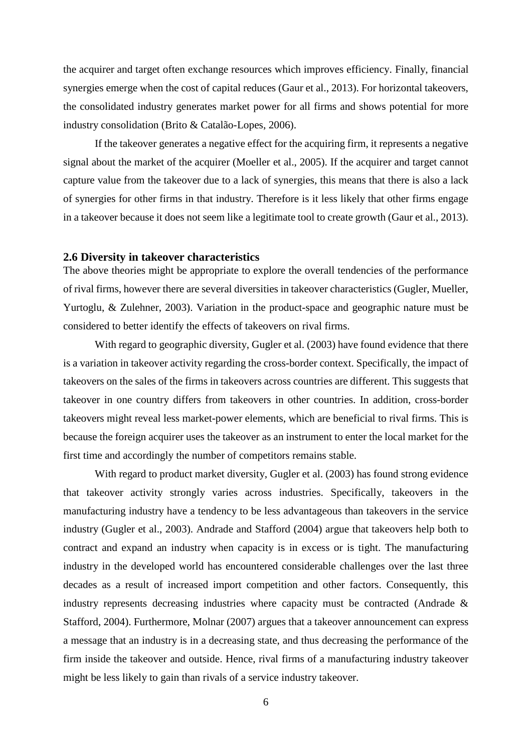the acquirer and target often exchange resources which improves efficiency. Finally, financial synergies emerge when the cost of capital reduces (Gaur et al., 2013). For horizontal takeovers, the consolidated industry generates market power for all firms and shows potential for more industry consolidation (Brito & Catalão-Lopes, 2006).

If the takeover generates a negative effect for the acquiring firm, it represents a negative signal about the market of the acquirer (Moeller et al., 2005). If the acquirer and target cannot capture value from the takeover due to a lack of synergies, this means that there is also a lack of synergies for other firms in that industry. Therefore is it less likely that other firms engage in a takeover because it does not seem like a legitimate tool to create growth (Gaur et al., 2013).

#### <span id="page-8-0"></span>**2.6 Diversity in takeover characteristics**

The above theories might be appropriate to explore the overall tendencies of the performance of rival firms, however there are several diversities in takeover characteristics (Gugler, Mueller, Yurtoglu, & Zulehner, 2003). Variation in the product-space and geographic nature must be considered to better identify the effects of takeovers on rival firms.

With regard to geographic diversity, Gugler et al. (2003) have found evidence that there is a variation in takeover activity regarding the cross-border context. Specifically, the impact of takeovers on the sales of the firms in takeovers across countries are different. This suggests that takeover in one country differs from takeovers in other countries. In addition, cross-border takeovers might reveal less market-power elements, which are beneficial to rival firms. This is because the foreign acquirer uses the takeover as an instrument to enter the local market for the first time and accordingly the number of competitors remains stable.

With regard to product market diversity, Gugler et al. (2003) has found strong evidence that takeover activity strongly varies across industries. Specifically, takeovers in the manufacturing industry have a tendency to be less advantageous than takeovers in the service industry (Gugler et al., 2003). Andrade and Stafford (2004) argue that takeovers help both to contract and expand an industry when capacity is in excess or is tight. The manufacturing industry in the developed world has encountered considerable challenges over the last three decades as a result of increased import competition and other factors. Consequently, this industry represents decreasing industries where capacity must be contracted (Andrade & Stafford, 2004). Furthermore, Molnar (2007) argues that a takeover announcement can express a message that an industry is in a decreasing state, and thus decreasing the performance of the firm inside the takeover and outside. Hence, rival firms of a manufacturing industry takeover might be less likely to gain than rivals of a service industry takeover.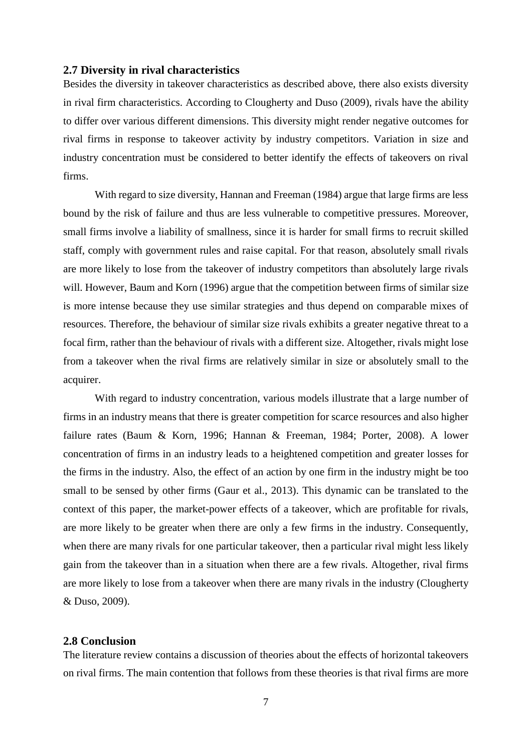#### <span id="page-9-0"></span>**2.7 Diversity in rival characteristics**

Besides the diversity in takeover characteristics as described above, there also exists diversity in rival firm characteristics. According to Clougherty and Duso (2009), rivals have the ability to differ over various different dimensions. This diversity might render negative outcomes for rival firms in response to takeover activity by industry competitors. Variation in size and industry concentration must be considered to better identify the effects of takeovers on rival firms.

With regard to size diversity, Hannan and Freeman (1984) argue that large firms are less bound by the risk of failure and thus are less vulnerable to competitive pressures. Moreover, small firms involve a liability of smallness, since it is harder for small firms to recruit skilled staff, comply with government rules and raise capital. For that reason, absolutely small rivals are more likely to lose from the takeover of industry competitors than absolutely large rivals will. However, Baum and Korn (1996) argue that the competition between firms of similar size is more intense because they use similar strategies and thus depend on comparable mixes of resources. Therefore, the behaviour of similar size rivals exhibits a greater negative threat to a focal firm, rather than the behaviour of rivals with a different size. Altogether, rivals might lose from a takeover when the rival firms are relatively similar in size or absolutely small to the acquirer.

With regard to industry concentration, various models illustrate that a large number of firms in an industry means that there is greater competition for scarce resources and also higher failure rates (Baum & Korn, 1996; Hannan & Freeman, 1984; Porter, 2008). A lower concentration of firms in an industry leads to a heightened competition and greater losses for the firms in the industry. Also, the effect of an action by one firm in the industry might be too small to be sensed by other firms (Gaur et al., 2013). This dynamic can be translated to the context of this paper, the market-power effects of a takeover, which are profitable for rivals, are more likely to be greater when there are only a few firms in the industry. Consequently, when there are many rivals for one particular takeover, then a particular rival might less likely gain from the takeover than in a situation when there are a few rivals. Altogether, rival firms are more likely to lose from a takeover when there are many rivals in the industry (Clougherty & Duso, 2009).

#### <span id="page-9-1"></span>**2.8 Conclusion**

The literature review contains a discussion of theories about the effects of horizontal takeovers on rival firms. The main contention that follows from these theories is that rival firms are more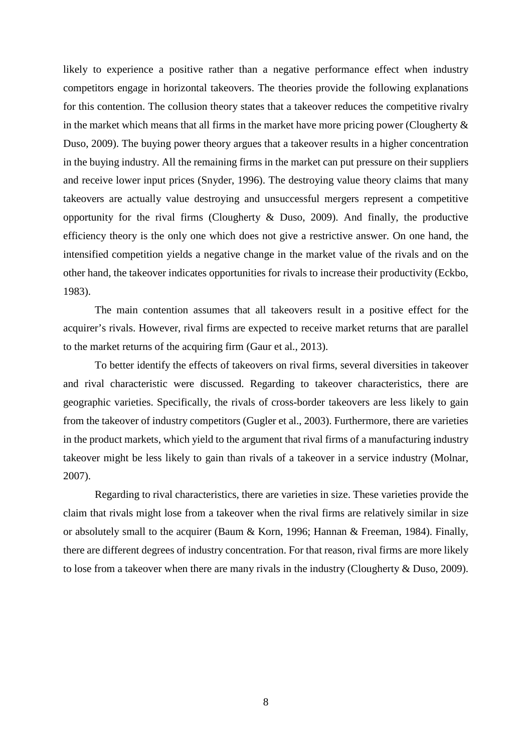likely to experience a positive rather than a negative performance effect when industry competitors engage in horizontal takeovers. The theories provide the following explanations for this contention. The collusion theory states that a takeover reduces the competitive rivalry in the market which means that all firms in the market have more pricing power (Clougherty  $\&$ Duso, 2009). The buying power theory argues that a takeover results in a higher concentration in the buying industry. All the remaining firms in the market can put pressure on their suppliers and receive lower input prices (Snyder, 1996). The destroying value theory claims that many takeovers are actually value destroying and unsuccessful mergers represent a competitive opportunity for the rival firms (Clougherty & Duso, 2009). And finally, the productive efficiency theory is the only one which does not give a restrictive answer. On one hand, the intensified competition yields a negative change in the market value of the rivals and on the other hand, the takeover indicates opportunities for rivals to increase their productivity (Eckbo, 1983).

The main contention assumes that all takeovers result in a positive effect for the acquirer's rivals. However, rival firms are expected to receive market returns that are parallel to the market returns of the acquiring firm (Gaur et al., 2013).

To better identify the effects of takeovers on rival firms, several diversities in takeover and rival characteristic were discussed. Regarding to takeover characteristics, there are geographic varieties. Specifically, the rivals of cross-border takeovers are less likely to gain from the takeover of industry competitors (Gugler et al., 2003). Furthermore, there are varieties in the product markets, which yield to the argument that rival firms of a manufacturing industry takeover might be less likely to gain than rivals of a takeover in a service industry (Molnar, 2007).

Regarding to rival characteristics, there are varieties in size. These varieties provide the claim that rivals might lose from a takeover when the rival firms are relatively similar in size or absolutely small to the acquirer (Baum & Korn, 1996; Hannan & Freeman, 1984). Finally, there are different degrees of industry concentration. For that reason, rival firms are more likely to lose from a takeover when there are many rivals in the industry (Clougherty & Duso, 2009).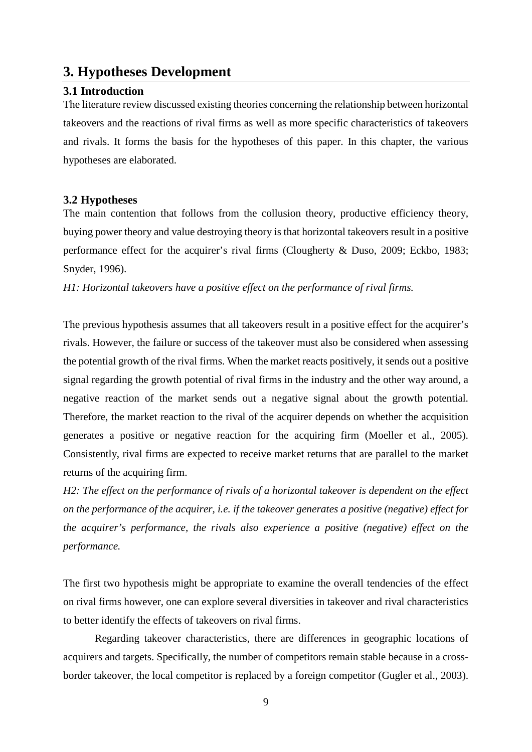## <span id="page-11-0"></span>**3. Hypotheses Development**

#### <span id="page-11-1"></span>**3.1 Introduction**

The literature review discussed existing theories concerning the relationship between horizontal takeovers and the reactions of rival firms as well as more specific characteristics of takeovers and rivals. It forms the basis for the hypotheses of this paper. In this chapter, the various hypotheses are elaborated.

#### <span id="page-11-2"></span>**3.2 Hypotheses**

The main contention that follows from the collusion theory, productive efficiency theory, buying power theory and value destroying theory is that horizontal takeovers result in a positive performance effect for the acquirer's rival firms (Clougherty & Duso, 2009; Eckbo, 1983; Snyder, 1996).

*H1: Horizontal takeovers have a positive effect on the performance of rival firms.*

The previous hypothesis assumes that all takeovers result in a positive effect for the acquirer's rivals. However, the failure or success of the takeover must also be considered when assessing the potential growth of the rival firms. When the market reacts positively, it sends out a positive signal regarding the growth potential of rival firms in the industry and the other way around, a negative reaction of the market sends out a negative signal about the growth potential. Therefore, the market reaction to the rival of the acquirer depends on whether the acquisition generates a positive or negative reaction for the acquiring firm (Moeller et al., 2005). Consistently, rival firms are expected to receive market returns that are parallel to the market returns of the acquiring firm.

*H2: The effect on the performance of rivals of a horizontal takeover is dependent on the effect on the performance of the acquirer, i.e. if the takeover generates a positive (negative) effect for the acquirer's performance, the rivals also experience a positive (negative) effect on the performance.*

The first two hypothesis might be appropriate to examine the overall tendencies of the effect on rival firms however, one can explore several diversities in takeover and rival characteristics to better identify the effects of takeovers on rival firms.

Regarding takeover characteristics, there are differences in geographic locations of acquirers and targets. Specifically, the number of competitors remain stable because in a crossborder takeover, the local competitor is replaced by a foreign competitor (Gugler et al., 2003).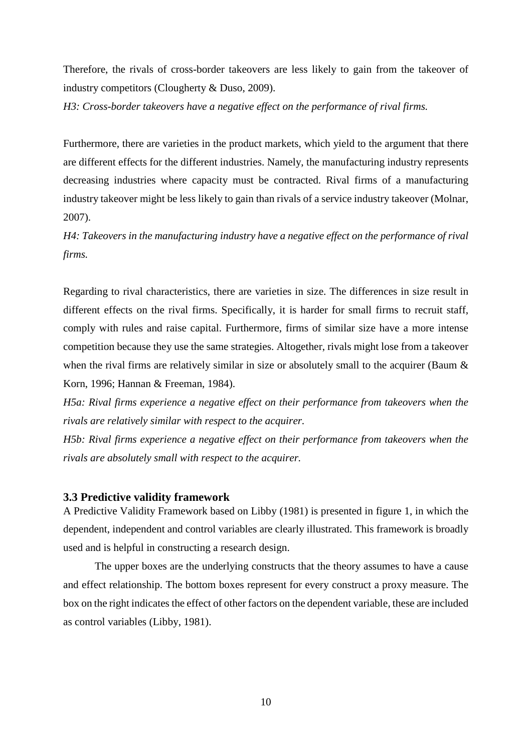Therefore, the rivals of cross-border takeovers are less likely to gain from the takeover of industry competitors (Clougherty & Duso, 2009).

*H3: Cross-border takeovers have a negative effect on the performance of rival firms.*

Furthermore, there are varieties in the product markets, which yield to the argument that there are different effects for the different industries. Namely, the manufacturing industry represents decreasing industries where capacity must be contracted. Rival firms of a manufacturing industry takeover might be less likely to gain than rivals of a service industry takeover (Molnar, 2007).

*H4: Takeovers in the manufacturing industry have a negative effect on the performance of rival firms.*

Regarding to rival characteristics, there are varieties in size. The differences in size result in different effects on the rival firms. Specifically, it is harder for small firms to recruit staff, comply with rules and raise capital. Furthermore, firms of similar size have a more intense competition because they use the same strategies. Altogether, rivals might lose from a takeover when the rival firms are relatively similar in size or absolutely small to the acquirer (Baum  $\&$ Korn, 1996; Hannan & Freeman, 1984).

*H5a: Rival firms experience a negative effect on their performance from takeovers when the rivals are relatively similar with respect to the acquirer.*

*H5b: Rival firms experience a negative effect on their performance from takeovers when the rivals are absolutely small with respect to the acquirer.*

#### <span id="page-12-0"></span>**3.3 Predictive validity framework**

A Predictive Validity Framework based on Libby (1981) is presented in figure 1, in which the dependent, independent and control variables are clearly illustrated. This framework is broadly used and is helpful in constructing a research design.

The upper boxes are the underlying constructs that the theory assumes to have a cause and effect relationship. The bottom boxes represent for every construct a proxy measure. The box on the right indicates the effect of other factors on the dependent variable, these are included as control variables (Libby, 1981).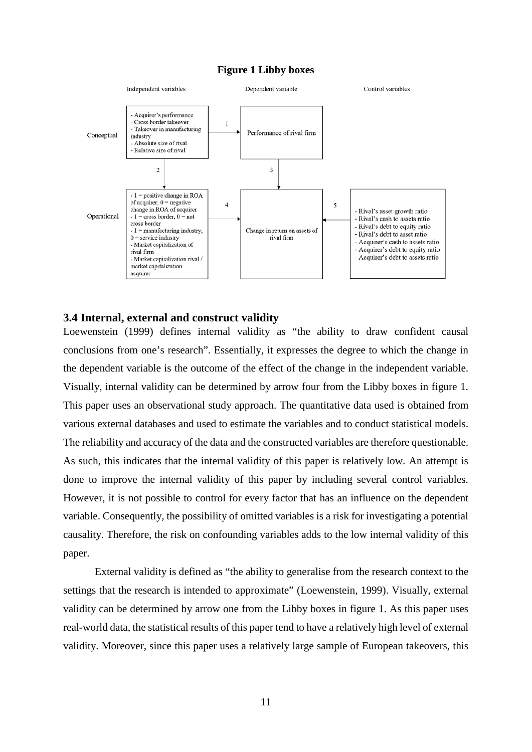#### **Figure 1 Libby boxes**



#### <span id="page-13-0"></span>**3.4 Internal, external and construct validity**

Loewenstein (1999) defines internal validity as "the ability to draw confident causal conclusions from one's research". Essentially, it expresses the degree to which the change in the dependent variable is the outcome of the effect of the change in the independent variable. Visually, internal validity can be determined by arrow four from the Libby boxes in figure 1. This paper uses an observational study approach. The quantitative data used is obtained from various external databases and used to estimate the variables and to conduct statistical models. The reliability and accuracy of the data and the constructed variables are therefore questionable. As such, this indicates that the internal validity of this paper is relatively low. An attempt is done to improve the internal validity of this paper by including several control variables. However, it is not possible to control for every factor that has an influence on the dependent variable. Consequently, the possibility of omitted variables is a risk for investigating a potential causality. Therefore, the risk on confounding variables adds to the low internal validity of this paper.

External validity is defined as "the ability to generalise from the research context to the settings that the research is intended to approximate" (Loewenstein, 1999). Visually, external validity can be determined by arrow one from the Libby boxes in figure 1. As this paper uses real-world data, the statistical results of this paper tend to have a relatively high level of external validity. Moreover, since this paper uses a relatively large sample of European takeovers, this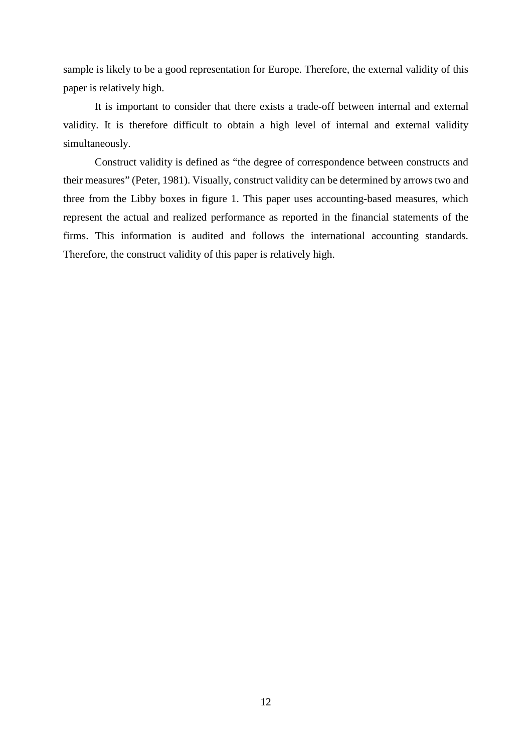sample is likely to be a good representation for Europe. Therefore, the external validity of this paper is relatively high.

It is important to consider that there exists a trade-off between internal and external validity. It is therefore difficult to obtain a high level of internal and external validity simultaneously.

Construct validity is defined as "the degree of correspondence between constructs and their measures" (Peter, 1981). Visually, construct validity can be determined by arrows two and three from the Libby boxes in figure 1. This paper uses accounting-based measures, which represent the actual and realized performance as reported in the financial statements of the firms. This information is audited and follows the international accounting standards. Therefore, the construct validity of this paper is relatively high.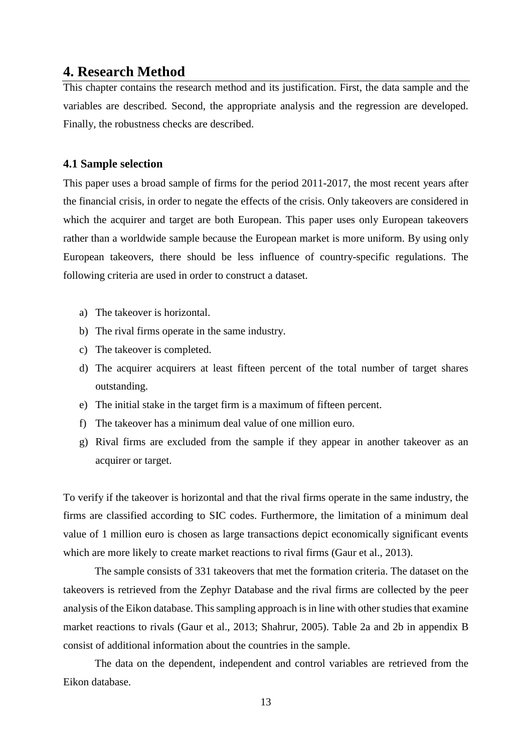### <span id="page-15-0"></span>**4. Research Method**

This chapter contains the research method and its justification. First, the data sample and the variables are described. Second, the appropriate analysis and the regression are developed. Finally, the robustness checks are described.

#### <span id="page-15-1"></span>**4.1 Sample selection**

This paper uses a broad sample of firms for the period 2011-2017, the most recent years after the financial crisis, in order to negate the effects of the crisis. Only takeovers are considered in which the acquirer and target are both European. This paper uses only European takeovers rather than a worldwide sample because the European market is more uniform. By using only European takeovers, there should be less influence of country-specific regulations. The following criteria are used in order to construct a dataset.

- a) The takeover is horizontal.
- b) The rival firms operate in the same industry.
- c) The takeover is completed.
- d) The acquirer acquirers at least fifteen percent of the total number of target shares outstanding.
- e) The initial stake in the target firm is a maximum of fifteen percent.
- f) The takeover has a minimum deal value of one million euro.
- g) Rival firms are excluded from the sample if they appear in another takeover as an acquirer or target.

To verify if the takeover is horizontal and that the rival firms operate in the same industry, the firms are classified according to SIC codes. Furthermore, the limitation of a minimum deal value of 1 million euro is chosen as large transactions depict economically significant events which are more likely to create market reactions to rival firms (Gaur et al., 2013).

The sample consists of 331 takeovers that met the formation criteria. The dataset on the takeovers is retrieved from the Zephyr Database and the rival firms are collected by the peer analysis of the Eikon database. This sampling approach is in line with other studies that examine market reactions to rivals (Gaur et al., 2013; Shahrur, 2005). Table 2a and 2b in appendix B consist of additional information about the countries in the sample.

The data on the dependent, independent and control variables are retrieved from the Eikon database.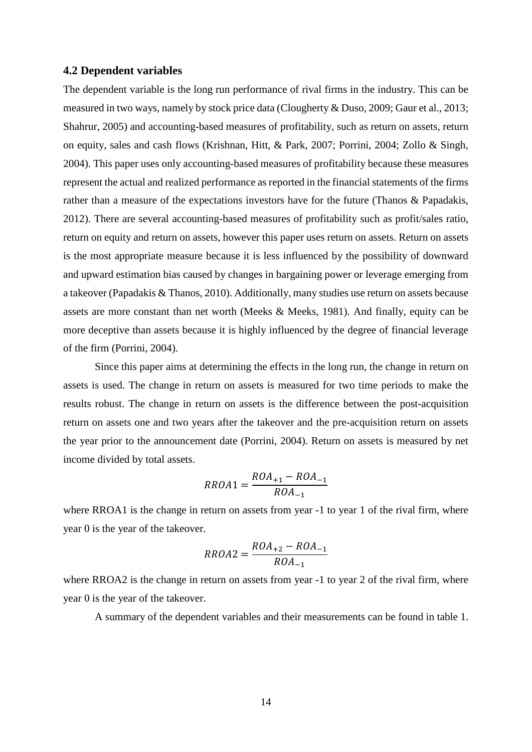#### <span id="page-16-0"></span>**4.2 Dependent variables**

The dependent variable is the long run performance of rival firms in the industry. This can be measured in two ways, namely by stock price data (Clougherty & Duso, 2009; Gaur et al., 2013; Shahrur, 2005) and accounting-based measures of profitability, such as return on assets, return on equity, sales and cash flows (Krishnan, Hitt, & Park, 2007; Porrini, 2004; Zollo & Singh, 2004). This paper uses only accounting-based measures of profitability because these measures represent the actual and realized performance as reported in the financial statements of the firms rather than a measure of the expectations investors have for the future (Thanos & Papadakis, 2012). There are several accounting-based measures of profitability such as profit/sales ratio, return on equity and return on assets, however this paper uses return on assets. Return on assets is the most appropriate measure because it is less influenced by the possibility of downward and upward estimation bias caused by changes in bargaining power or leverage emerging from a takeover (Papadakis & Thanos, 2010). Additionally, many studies use return on assets because assets are more constant than net worth (Meeks & Meeks, 1981). And finally, equity can be more deceptive than assets because it is highly influenced by the degree of financial leverage of the firm (Porrini, 2004).

Since this paper aims at determining the effects in the long run, the change in return on assets is used. The change in return on assets is measured for two time periods to make the results robust. The change in return on assets is the difference between the post-acquisition return on assets one and two years after the takeover and the pre-acquisition return on assets the year prior to the announcement date (Porrini, 2004). Return on assets is measured by net income divided by total assets.

$$
RROA1 = \frac{ROA_{+1} - ROA_{-1}}{ROA_{-1}}
$$

where RROA1 is the change in return on assets from year  $-1$  to year 1 of the rival firm, where year 0 is the year of the takeover.

$$
RROA2 = \frac{ROA_{+2} - ROA_{-1}}{ROA_{-1}}
$$

where RROA2 is the change in return on assets from year  $-1$  to year 2 of the rival firm, where year 0 is the year of the takeover.

A summary of the dependent variables and their measurements can be found in table 1.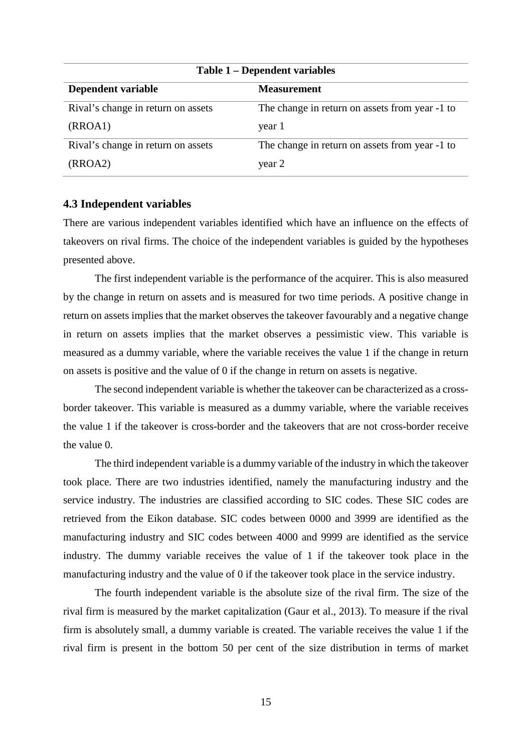| Table 1 – Dependent variables      |                                                |  |  |
|------------------------------------|------------------------------------------------|--|--|
| Dependent variable                 | <b>Measurement</b>                             |  |  |
| Rival's change in return on assets | The change in return on assets from year -1 to |  |  |
| (RROA1)                            | year 1                                         |  |  |
| Rival's change in return on assets | The change in return on assets from year -1 to |  |  |
| (RROA2)                            | year 2                                         |  |  |

#### <span id="page-17-0"></span>**4.3 Independent variables**

There are various independent variables identified which have an influence on the effects of takeovers on rival firms. The choice of the independent variables is guided by the hypotheses presented above.

The first independent variable is the performance of the acquirer. This is also measured by the change in return on assets and is measured for two time periods. A positive change in return on assets implies that the market observes the takeover favourably and a negative change in return on assets implies that the market observes a pessimistic view. This variable is measured as a dummy variable, where the variable receives the value 1 if the change in return on assets is positive and the value of 0 if the change in return on assets is negative.

The second independent variable is whether the takeover can be characterized as a crossborder takeover. This variable is measured as a dummy variable, where the variable receives the value 1 if the takeover is cross-border and the takeovers that are not cross-border receive the value 0.

The third independent variable is a dummy variable of the industry in which the takeover took place. There are two industries identified, namely the manufacturing industry and the service industry. The industries are classified according to SIC codes. These SIC codes are retrieved from the Eikon database. SIC codes between 0000 and 3999 are identified as the manufacturing industry and SIC codes between 4000 and 9999 are identified as the service industry. The dummy variable receives the value of 1 if the takeover took place in the manufacturing industry and the value of 0 if the takeover took place in the service industry.

The fourth independent variable is the absolute size of the rival firm. The size of the rival firm is measured by the market capitalization (Gaur et al., 2013). To measure if the rival firm is absolutely small, a dummy variable is created. The variable receives the value 1 if the rival firm is present in the bottom 50 per cent of the size distribution in terms of market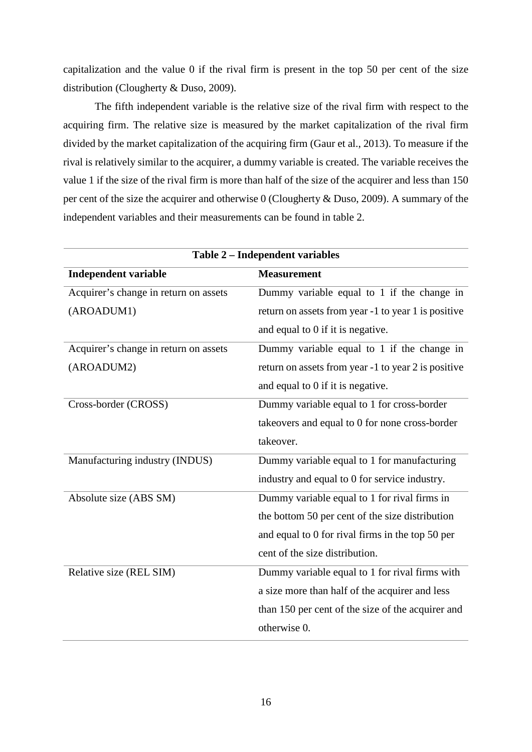capitalization and the value 0 if the rival firm is present in the top 50 per cent of the size distribution (Clougherty & Duso, 2009).

The fifth independent variable is the relative size of the rival firm with respect to the acquiring firm. The relative size is measured by the market capitalization of the rival firm divided by the market capitalization of the acquiring firm (Gaur et al., 2013). To measure if the rival is relatively similar to the acquirer, a dummy variable is created. The variable receives the value 1 if the size of the rival firm is more than half of the size of the acquirer and less than 150 per cent of the size the acquirer and otherwise 0 (Clougherty & Duso, 2009). A summary of the independent variables and their measurements can be found in table 2.

| Table 2 - Independent variables       |                                                     |  |  |
|---------------------------------------|-----------------------------------------------------|--|--|
| <b>Independent variable</b>           | <b>Measurement</b>                                  |  |  |
| Acquirer's change in return on assets | Dummy variable equal to 1 if the change in          |  |  |
| (AROADUM1)                            | return on assets from year -1 to year 1 is positive |  |  |
|                                       | and equal to 0 if it is negative.                   |  |  |
| Acquirer's change in return on assets | Dummy variable equal to 1 if the change in          |  |  |
| (AROADUM2)                            | return on assets from year -1 to year 2 is positive |  |  |
|                                       | and equal to 0 if it is negative.                   |  |  |
| Cross-border (CROSS)                  | Dummy variable equal to 1 for cross-border          |  |  |
|                                       | takeovers and equal to 0 for none cross-border      |  |  |
|                                       | takeover.                                           |  |  |
| Manufacturing industry (INDUS)        | Dummy variable equal to 1 for manufacturing         |  |  |
|                                       | industry and equal to 0 for service industry.       |  |  |
| Absolute size (ABS SM)                | Dummy variable equal to 1 for rival firms in        |  |  |
|                                       | the bottom 50 per cent of the size distribution     |  |  |
|                                       | and equal to 0 for rival firms in the top 50 per    |  |  |
|                                       | cent of the size distribution.                      |  |  |
| Relative size (REL SIM)               | Dummy variable equal to 1 for rival firms with      |  |  |
|                                       | a size more than half of the acquirer and less      |  |  |
|                                       | than 150 per cent of the size of the acquirer and   |  |  |
|                                       | otherwise 0.                                        |  |  |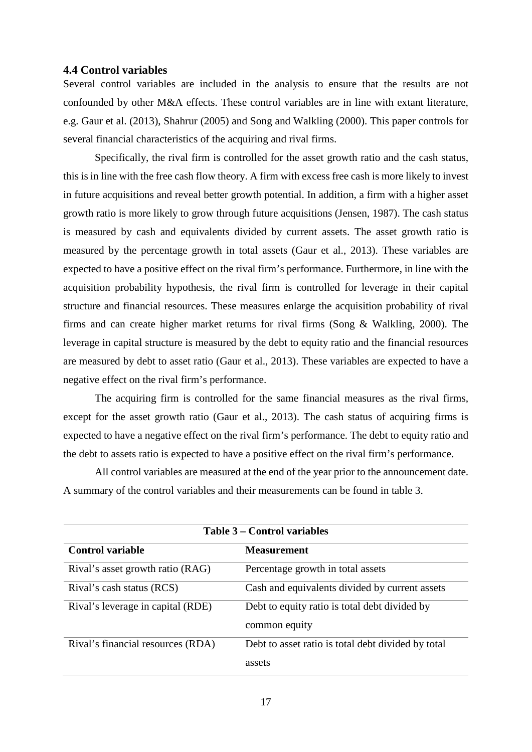#### <span id="page-19-0"></span>**4.4 Control variables**

Several control variables are included in the analysis to ensure that the results are not confounded by other M&A effects. These control variables are in line with extant literature, e.g. Gaur et al. (2013), Shahrur (2005) and Song and Walkling (2000). This paper controls for several financial characteristics of the acquiring and rival firms.

Specifically, the rival firm is controlled for the asset growth ratio and the cash status, this is in line with the free cash flow theory. A firm with excess free cash is more likely to invest in future acquisitions and reveal better growth potential. In addition, a firm with a higher asset growth ratio is more likely to grow through future acquisitions (Jensen, 1987). The cash status is measured by cash and equivalents divided by current assets. The asset growth ratio is measured by the percentage growth in total assets (Gaur et al., 2013). These variables are expected to have a positive effect on the rival firm's performance. Furthermore, in line with the acquisition probability hypothesis, the rival firm is controlled for leverage in their capital structure and financial resources. These measures enlarge the acquisition probability of rival firms and can create higher market returns for rival firms (Song & Walkling, 2000). The leverage in capital structure is measured by the debt to equity ratio and the financial resources are measured by debt to asset ratio (Gaur et al., 2013). These variables are expected to have a negative effect on the rival firm's performance.

The acquiring firm is controlled for the same financial measures as the rival firms, except for the asset growth ratio (Gaur et al., 2013). The cash status of acquiring firms is expected to have a negative effect on the rival firm's performance. The debt to equity ratio and the debt to assets ratio is expected to have a positive effect on the rival firm's performance.

All control variables are measured at the end of the year prior to the announcement date. A summary of the control variables and their measurements can be found in table 3.

| Table 3 – Control variables       |                                                    |  |  |  |
|-----------------------------------|----------------------------------------------------|--|--|--|
| <b>Control variable</b>           | <b>Measurement</b>                                 |  |  |  |
| Rival's asset growth ratio (RAG)  | Percentage growth in total assets                  |  |  |  |
| Rival's cash status (RCS)         | Cash and equivalents divided by current assets     |  |  |  |
| Rival's leverage in capital (RDE) | Debt to equity ratio is total debt divided by      |  |  |  |
|                                   | common equity                                      |  |  |  |
| Rival's financial resources (RDA) | Debt to asset ratio is total debt divided by total |  |  |  |
|                                   | assets                                             |  |  |  |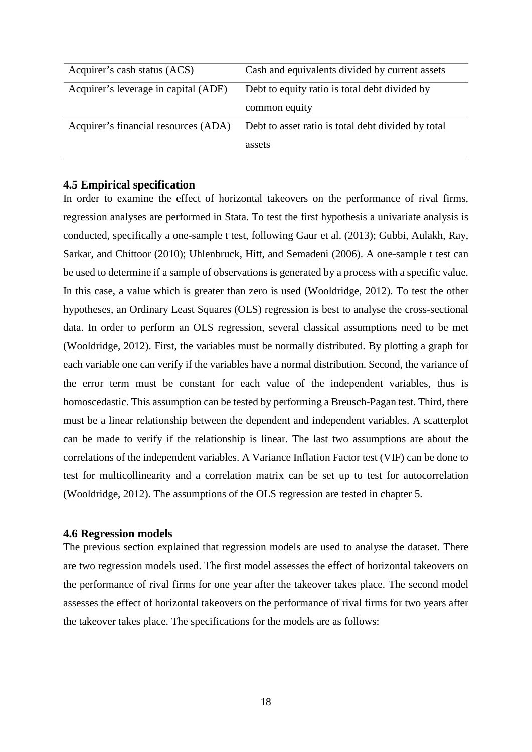| Acquirer's cash status (ACS)         | Cash and equivalents divided by current assets     |
|--------------------------------------|----------------------------------------------------|
| Acquirer's leverage in capital (ADE) | Debt to equity ratio is total debt divided by      |
|                                      | common equity                                      |
| Acquirer's financial resources (ADA) | Debt to asset ratio is total debt divided by total |
|                                      | assets                                             |

#### <span id="page-20-0"></span>**4.5 Empirical specification**

In order to examine the effect of horizontal takeovers on the performance of rival firms, regression analyses are performed in Stata. To test the first hypothesis a univariate analysis is conducted, specifically a one-sample t test, following Gaur et al. (2013); Gubbi, Aulakh, Ray, Sarkar, and Chittoor (2010); Uhlenbruck, Hitt, and Semadeni (2006). A one-sample t test can be used to determine if a sample of observations is generated by a process with a specific value. In this case, a value which is greater than zero is used (Wooldridge, 2012). To test the other hypotheses, an Ordinary Least Squares (OLS) regression is best to analyse the cross-sectional data. In order to perform an OLS regression, several classical assumptions need to be met (Wooldridge, 2012). First, the variables must be normally distributed. By plotting a graph for each variable one can verify if the variables have a normal distribution. Second, the variance of the error term must be constant for each value of the independent variables, thus is homoscedastic. This assumption can be tested by performing a Breusch-Pagan test. Third, there must be a linear relationship between the dependent and independent variables. A scatterplot can be made to verify if the relationship is linear. The last two assumptions are about the correlations of the independent variables. A Variance Inflation Factor test (VIF) can be done to test for multicollinearity and a correlation matrix can be set up to test for autocorrelation (Wooldridge, 2012). The assumptions of the OLS regression are tested in chapter 5.

#### <span id="page-20-1"></span>**4.6 Regression models**

The previous section explained that regression models are used to analyse the dataset. There are two regression models used. The first model assesses the effect of horizontal takeovers on the performance of rival firms for one year after the takeover takes place. The second model assesses the effect of horizontal takeovers on the performance of rival firms for two years after the takeover takes place. The specifications for the models are as follows: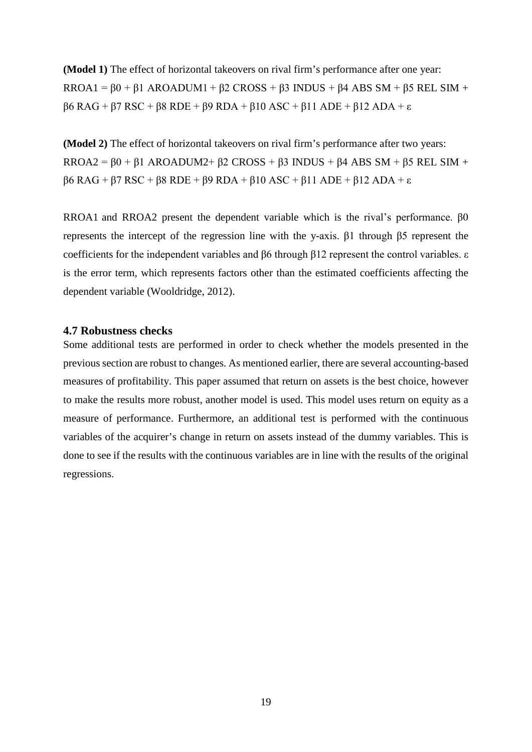**(Model 1)** The effect of horizontal takeovers on rival firm's performance after one year: RROA1 =  $\beta$ 0 +  $\beta$ 1 AROADUM1 +  $\beta$ 2 CROSS +  $\beta$ 3 INDUS +  $\beta$ 4 ABS SM +  $\beta$ 5 REL SIM + β6 RAG + β7 RSC + β8 RDE + β9 RDA + β10 ASC + β11 ADE + β12 ADA + ε

**(Model 2)** The effect of horizontal takeovers on rival firm's performance after two years: RROA2 =  $\beta$ 0 +  $\beta$ 1 AROADUM2+  $\beta$ 2 CROSS +  $\beta$ 3 INDUS +  $\beta$ 4 ABS SM +  $\beta$ 5 REL SIM + β6 RAG + β7 RSC + β8 RDE + β9 RDA + β10 ASC + β11 ADE + β12 ADA + ε

RROA1 and RROA2 present the dependent variable which is the rival's performance. β0 represents the intercept of the regression line with the y-axis. β1 through β5 represent the coefficients for the independent variables and β6 through β12 represent the control variables. ε is the error term, which represents factors other than the estimated coefficients affecting the dependent variable (Wooldridge, 2012).

#### <span id="page-21-0"></span>**4.7 Robustness checks**

Some additional tests are performed in order to check whether the models presented in the previous section are robust to changes. As mentioned earlier, there are several accounting-based measures of profitability. This paper assumed that return on assets is the best choice, however to make the results more robust, another model is used. This model uses return on equity as a measure of performance. Furthermore, an additional test is performed with the continuous variables of the acquirer's change in return on assets instead of the dummy variables. This is done to see if the results with the continuous variables are in line with the results of the original regressions.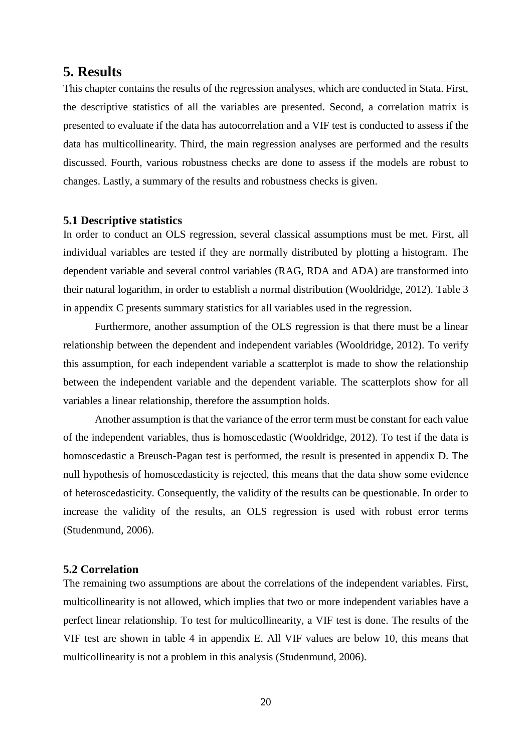### <span id="page-22-0"></span>**5. Results**

This chapter contains the results of the regression analyses, which are conducted in Stata. First, the descriptive statistics of all the variables are presented. Second, a correlation matrix is presented to evaluate if the data has autocorrelation and a VIF test is conducted to assess if the data has multicollinearity. Third, the main regression analyses are performed and the results discussed. Fourth, various robustness checks are done to assess if the models are robust to changes. Lastly, a summary of the results and robustness checks is given.

#### <span id="page-22-1"></span>**5.1 Descriptive statistics**

In order to conduct an OLS regression, several classical assumptions must be met. First, all individual variables are tested if they are normally distributed by plotting a histogram. The dependent variable and several control variables (RAG, RDA and ADA) are transformed into their natural logarithm, in order to establish a normal distribution (Wooldridge, 2012). Table 3 in appendix C presents summary statistics for all variables used in the regression.

Furthermore, another assumption of the OLS regression is that there must be a linear relationship between the dependent and independent variables (Wooldridge, 2012). To verify this assumption, for each independent variable a scatterplot is made to show the relationship between the independent variable and the dependent variable. The scatterplots show for all variables a linear relationship, therefore the assumption holds.

Another assumption is that the variance of the error term must be constant for each value of the independent variables, thus is homoscedastic (Wooldridge, 2012). To test if the data is homoscedastic a Breusch-Pagan test is performed, the result is presented in appendix D. The null hypothesis of homoscedasticity is rejected, this means that the data show some evidence of heteroscedasticity. Consequently, the validity of the results can be questionable. In order to increase the validity of the results, an OLS regression is used with robust error terms (Studenmund, 2006).

#### <span id="page-22-2"></span>**5.2 Correlation**

The remaining two assumptions are about the correlations of the independent variables. First, multicollinearity is not allowed, which implies that two or more independent variables have a perfect linear relationship. To test for multicollinearity, a VIF test is done. The results of the VIF test are shown in table 4 in appendix E. All VIF values are below 10, this means that multicollinearity is not a problem in this analysis (Studenmund, 2006).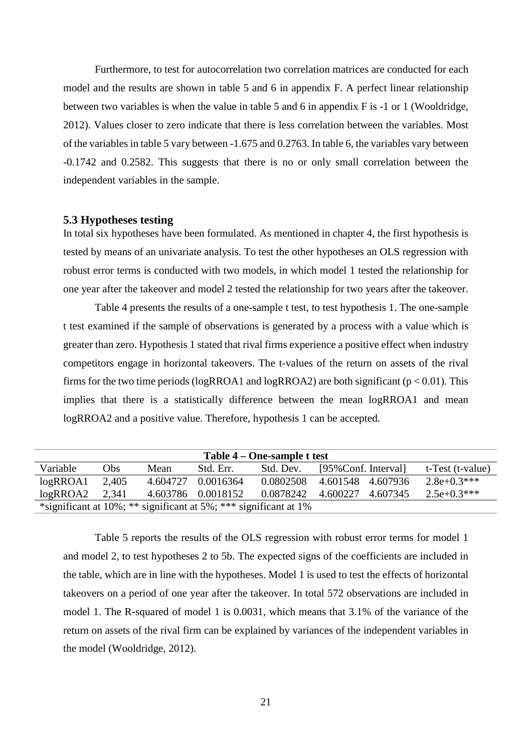Furthermore, to test for autocorrelation two correlation matrices are conducted for each model and the results are shown in table 5 and 6 in appendix F. A perfect linear relationship between two variables is when the value in table 5 and 6 in appendix F is -1 or 1 (Wooldridge, 2012). Values closer to zero indicate that there is less correlation between the variables. Most of the variables in table 5 vary between -1.675 and 0.2763. In table 6, the variables vary between -0.1742 and 0.2582. This suggests that there is no or only small correlation between the independent variables in the sample.

#### <span id="page-23-0"></span>**5.3 Hypotheses testing**

In total six hypotheses have been formulated. As mentioned in chapter 4, the first hypothesis is tested by means of an univariate analysis. To test the other hypotheses an OLS regression with robust error terms is conducted with two models, in which model 1 tested the relationship for one year after the takeover and model 2 tested the relationship for two years after the takeover.

Table 4 presents the results of a one-sample t test, to test hypothesis 1. The one-sample t test examined if the sample of observations is generated by a process with a value which is greater than zero. Hypothesis 1 stated that rival firms experience a positive effect when industry competitors engage in horizontal takeovers. The t-values of the return on assets of the rival firms for the two time periods (logRROA1 and logRROA2) are both significant ( $p < 0.01$ ). This implies that there is a statistically difference between the mean logRROA1 and mean logRROA2 and a positive value. Therefore, hypothesis 1 can be accepted.

| Table 4 – One-sample t test                                                 |       |          |                    |           |                     |                  |
|-----------------------------------------------------------------------------|-------|----------|--------------------|-----------|---------------------|------------------|
| Variable                                                                    | Obs   | Mean     | Std. Err.          | Std. Dev. | [95%Conf. Interval] | t-Test (t-value) |
| $log$ R $ROA1$                                                              | 2,405 | 4.604727 | 0.0016364          | 0.0802508 | 4.601548 4.607936   | $2.8e+0.3***$    |
| $log$ ROA2                                                                  | 2,341 |          | 4.603786 0.0018152 | 0.0878242 | 4.600227 4.607345   | $2.5e+0.3***$    |
| *significant at $10\%$ ; ** significant at $5\%$ ; *** significant at $1\%$ |       |          |                    |           |                     |                  |

Table 5 reports the results of the OLS regression with robust error terms for model 1 and model 2, to test hypotheses 2 to 5b. The expected signs of the coefficients are included in the table, which are in line with the hypotheses. Model 1 is used to test the effects of horizontal takeovers on a period of one year after the takeover. In total 572 observations are included in model 1. The R-squared of model 1 is 0.0031, which means that 3.1% of the variance of the return on assets of the rival firm can be explained by variances of the independent variables in the model (Wooldridge, 2012).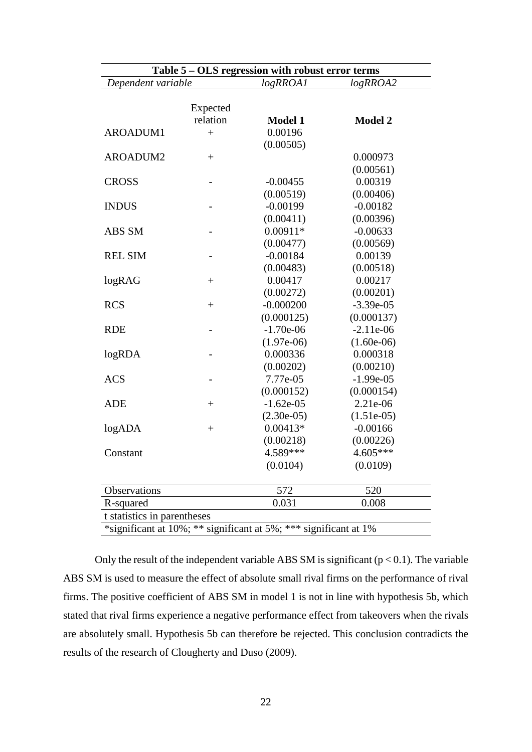| Table 5 – OLS regression with robust error terms                 |                |                |                |  |  |
|------------------------------------------------------------------|----------------|----------------|----------------|--|--|
| Dependent variable                                               |                | logRROA1       | logRROA2       |  |  |
|                                                                  |                |                |                |  |  |
|                                                                  | Expected       |                |                |  |  |
|                                                                  | relation       | <b>Model 1</b> | <b>Model 2</b> |  |  |
| <b>AROADUM1</b>                                                  | $^{+}$         | 0.00196        |                |  |  |
|                                                                  |                | (0.00505)      |                |  |  |
| <b>AROADUM2</b>                                                  | $+$            |                | 0.000973       |  |  |
|                                                                  |                |                | (0.00561)      |  |  |
| <b>CROSS</b>                                                     |                | $-0.00455$     | 0.00319        |  |  |
|                                                                  |                | (0.00519)      | (0.00406)      |  |  |
| <b>INDUS</b>                                                     |                | $-0.00199$     | $-0.00182$     |  |  |
|                                                                  |                | (0.00411)      | (0.00396)      |  |  |
| ABS SM                                                           |                | $0.00911*$     | $-0.00633$     |  |  |
|                                                                  |                | (0.00477)      | (0.00569)      |  |  |
| <b>REL SIM</b>                                                   | $\overline{a}$ | $-0.00184$     | 0.00139        |  |  |
|                                                                  |                | (0.00483)      | (0.00518)      |  |  |
| logRAG                                                           | $^{+}$         | 0.00417        | 0.00217        |  |  |
|                                                                  |                | (0.00272)      | (0.00201)      |  |  |
| <b>RCS</b>                                                       | $+$            | $-0.000200$    | $-3.39e-05$    |  |  |
|                                                                  |                | (0.000125)     | (0.000137)     |  |  |
| <b>RDE</b>                                                       | $\overline{a}$ | $-1.70e-06$    | $-2.11e-06$    |  |  |
|                                                                  |                | $(1.97e-06)$   | $(1.60e-06)$   |  |  |
| logRDA                                                           |                | 0.000336       | 0.000318       |  |  |
|                                                                  |                | (0.00202)      | (0.00210)      |  |  |
| <b>ACS</b>                                                       | $\overline{a}$ | 7.77e-05       | $-1.99e-05$    |  |  |
|                                                                  |                | (0.000152)     | (0.000154)     |  |  |
| <b>ADE</b>                                                       | $\! +$         | $-1.62e-05$    | 2.21e-06       |  |  |
|                                                                  |                | $(2.30e-05)$   | $(1.51e-05)$   |  |  |
| log <sub>ADA</sub>                                               | $^{+}$         | $0.00413*$     | $-0.00166$     |  |  |
|                                                                  |                | (0.00218)      | (0.00226)      |  |  |
| Constant                                                         |                | 4.589***       | 4.605***       |  |  |
|                                                                  |                | (0.0104)       | (0.0109)       |  |  |
| Observations                                                     |                | 572            | 520            |  |  |
| R-squared                                                        |                | 0.031          | 0.008          |  |  |
| t statistics in parentheses                                      |                |                |                |  |  |
| *significant at 10%; ** significant at 5%; *** significant at 1% |                |                |                |  |  |

Only the result of the independent variable ABS SM is significant ( $p < 0.1$ ). The variable ABS SM is used to measure the effect of absolute small rival firms on the performance of rival firms. The positive coefficient of ABS SM in model 1 is not in line with hypothesis 5b, which stated that rival firms experience a negative performance effect from takeovers when the rivals are absolutely small. Hypothesis 5b can therefore be rejected. This conclusion contradicts the results of the research of Clougherty and Duso (2009).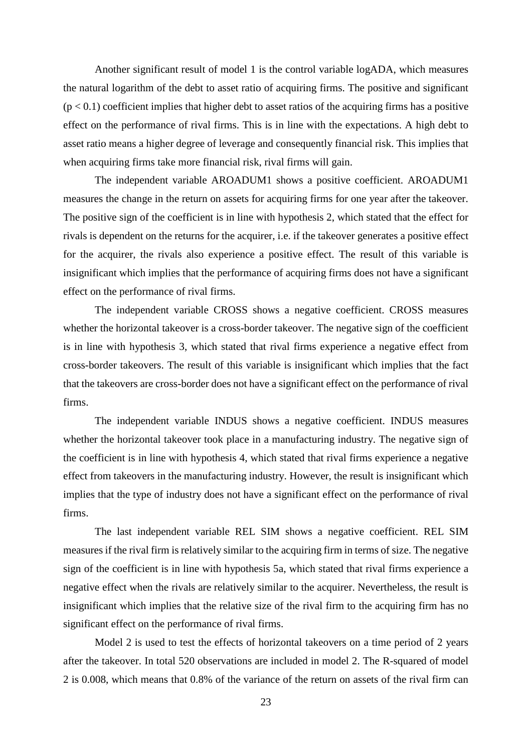Another significant result of model 1 is the control variable logADA, which measures the natural logarithm of the debt to asset ratio of acquiring firms. The positive and significant  $(p < 0.1)$  coefficient implies that higher debt to asset ratios of the acquiring firms has a positive effect on the performance of rival firms. This is in line with the expectations. A high debt to asset ratio means a higher degree of leverage and consequently financial risk. This implies that when acquiring firms take more financial risk, rival firms will gain.

The independent variable AROADUM1 shows a positive coefficient. AROADUM1 measures the change in the return on assets for acquiring firms for one year after the takeover. The positive sign of the coefficient is in line with hypothesis 2, which stated that the effect for rivals is dependent on the returns for the acquirer, i.e. if the takeover generates a positive effect for the acquirer, the rivals also experience a positive effect. The result of this variable is insignificant which implies that the performance of acquiring firms does not have a significant effect on the performance of rival firms.

The independent variable CROSS shows a negative coefficient. CROSS measures whether the horizontal takeover is a cross-border takeover. The negative sign of the coefficient is in line with hypothesis 3, which stated that rival firms experience a negative effect from cross-border takeovers. The result of this variable is insignificant which implies that the fact that the takeovers are cross-border does not have a significant effect on the performance of rival firms.

The independent variable INDUS shows a negative coefficient. INDUS measures whether the horizontal takeover took place in a manufacturing industry. The negative sign of the coefficient is in line with hypothesis 4, which stated that rival firms experience a negative effect from takeovers in the manufacturing industry. However, the result is insignificant which implies that the type of industry does not have a significant effect on the performance of rival firms.

The last independent variable REL SIM shows a negative coefficient. REL SIM measures if the rival firm is relatively similar to the acquiring firm in terms of size. The negative sign of the coefficient is in line with hypothesis 5a, which stated that rival firms experience a negative effect when the rivals are relatively similar to the acquirer. Nevertheless, the result is insignificant which implies that the relative size of the rival firm to the acquiring firm has no significant effect on the performance of rival firms.

Model 2 is used to test the effects of horizontal takeovers on a time period of 2 years after the takeover. In total 520 observations are included in model 2. The R-squared of model 2 is 0.008, which means that 0.8% of the variance of the return on assets of the rival firm can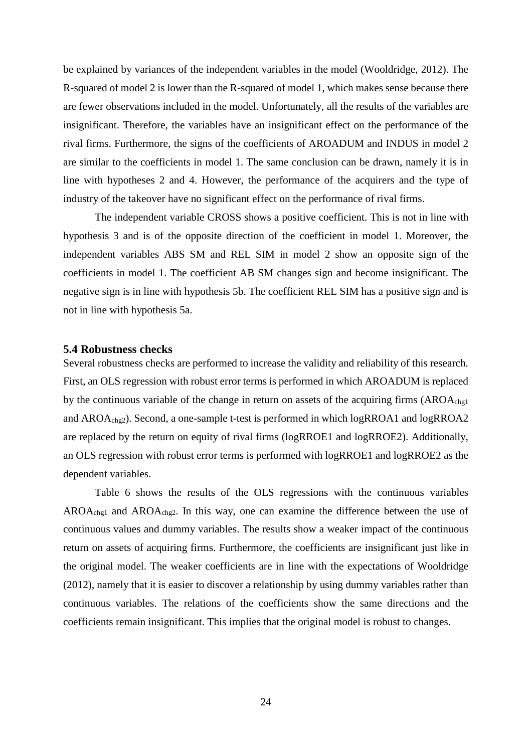be explained by variances of the independent variables in the model (Wooldridge, 2012). The R-squared of model 2 is lower than the R-squared of model 1, which makes sense because there are fewer observations included in the model. Unfortunately, all the results of the variables are insignificant. Therefore, the variables have an insignificant effect on the performance of the rival firms. Furthermore, the signs of the coefficients of AROADUM and INDUS in model 2 are similar to the coefficients in model 1. The same conclusion can be drawn, namely it is in line with hypotheses 2 and 4. However, the performance of the acquirers and the type of industry of the takeover have no significant effect on the performance of rival firms.

The independent variable CROSS shows a positive coefficient. This is not in line with hypothesis 3 and is of the opposite direction of the coefficient in model 1. Moreover, the independent variables ABS SM and REL SIM in model 2 show an opposite sign of the coefficients in model 1. The coefficient AB SM changes sign and become insignificant. The negative sign is in line with hypothesis 5b. The coefficient REL SIM has a positive sign and is not in line with hypothesis 5a.

#### <span id="page-26-0"></span>**5.4 Robustness checks**

Several robustness checks are performed to increase the validity and reliability of this research. First, an OLS regression with robust error terms is performed in which AROADUM is replaced by the continuous variable of the change in return on assets of the acquiring firms  $(AROA<sub>chgl</sub>)$ and AROAchg2). Second, a one-sample t-test is performed in which logRROA1 and logRROA2 are replaced by the return on equity of rival firms (logRROE1 and logRROE2). Additionally, an OLS regression with robust error terms is performed with logRROE1 and logRROE2 as the dependent variables.

Table 6 shows the results of the OLS regressions with the continuous variables AROAchg1 and AROAchg2. In this way, one can examine the difference between the use of continuous values and dummy variables. The results show a weaker impact of the continuous return on assets of acquiring firms. Furthermore, the coefficients are insignificant just like in the original model. The weaker coefficients are in line with the expectations of Wooldridge (2012), namely that it is easier to discover a relationship by using dummy variables rather than continuous variables. The relations of the coefficients show the same directions and the coefficients remain insignificant. This implies that the original model is robust to changes.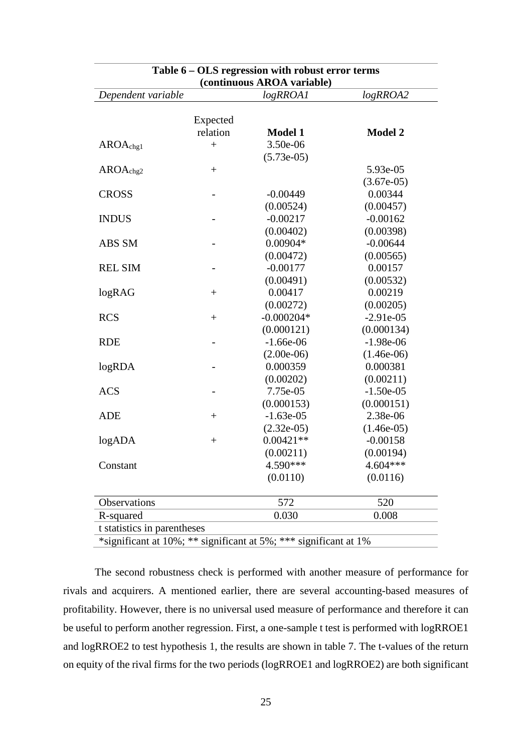| Table 6 – OLS regression with robust error terms |                          |              |                |  |  |  |
|--------------------------------------------------|--------------------------|--------------|----------------|--|--|--|
| (continuous AROA variable)                       |                          |              |                |  |  |  |
| Dependent variable                               |                          | logRROA1     | logRROA2       |  |  |  |
|                                                  |                          |              |                |  |  |  |
|                                                  | Expected                 |              |                |  |  |  |
|                                                  | relation                 | Model 1      | <b>Model 2</b> |  |  |  |
| AROA <sub>chgl</sub>                             | $+$                      | 3.50e-06     |                |  |  |  |
|                                                  |                          | $(5.73e-05)$ |                |  |  |  |
| AROA <sub>chg2</sub>                             |                          |              | 5.93e-05       |  |  |  |
|                                                  |                          |              | $(3.67e-05)$   |  |  |  |
| <b>CROSS</b>                                     | $\overline{\phantom{0}}$ | $-0.00449$   | 0.00344        |  |  |  |
|                                                  |                          | (0.00524)    | (0.00457)      |  |  |  |
| <b>INDUS</b>                                     |                          | $-0.00217$   | $-0.00162$     |  |  |  |
|                                                  |                          | (0.00402)    | (0.00398)      |  |  |  |
| ABS SM                                           | $\overline{a}$           | $0.00904*$   | $-0.00644$     |  |  |  |
|                                                  |                          | (0.00472)    | (0.00565)      |  |  |  |
| <b>REL SIM</b>                                   |                          | $-0.00177$   | 0.00157        |  |  |  |
|                                                  |                          | (0.00491)    | (0.00532)      |  |  |  |
| logRAG                                           | $^{+}$                   | 0.00417      | 0.00219        |  |  |  |
|                                                  |                          | (0.00272)    | (0.00205)      |  |  |  |
| <b>RCS</b>                                       | $+$                      | $-0.000204*$ | $-2.91e-05$    |  |  |  |
|                                                  |                          | (0.000121)   | (0.000134)     |  |  |  |
| <b>RDE</b>                                       | $\overline{\phantom{a}}$ | $-1.66e-06$  | $-1.98e-06$    |  |  |  |
|                                                  |                          | $(2.00e-06)$ | $(1.46e-06)$   |  |  |  |
| logRDA                                           | -                        | 0.000359     | 0.000381       |  |  |  |
|                                                  |                          | (0.00202)    | (0.00211)      |  |  |  |
| <b>ACS</b>                                       |                          | 7.75e-05     | $-1.50e-05$    |  |  |  |
|                                                  |                          | (0.000153)   | (0.000151)     |  |  |  |
| <b>ADE</b>                                       |                          | $-1.63e-05$  | 2.38e-06       |  |  |  |
|                                                  |                          | $(2.32e-05)$ | $(1.46e-05)$   |  |  |  |
| logADA                                           | $^{+}$                   | $0.00421**$  | $-0.00158$     |  |  |  |
|                                                  |                          | (0.00211)    | (0.00194)      |  |  |  |
| Constant                                         |                          | 4.590***     | 4.604***       |  |  |  |
|                                                  |                          | (0.0110)     | (0.0116)       |  |  |  |
| Observations                                     |                          | 572          | 520            |  |  |  |
| R-squared                                        |                          | 0.030        | 0.008          |  |  |  |
| t statistics in parentheses                      |                          |              |                |  |  |  |

|  |  | *significant at 10%; ** significant at 5%; *** significant at 1% |
|--|--|------------------------------------------------------------------|
|  |  |                                                                  |

The second robustness check is performed with another measure of performance for rivals and acquirers. A mentioned earlier, there are several accounting-based measures of profitability. However, there is no universal used measure of performance and therefore it can be useful to perform another regression. First, a one-sample t test is performed with logRROE1 and logRROE2 to test hypothesis 1, the results are shown in table 7. The t-values of the return on equity of the rival firms for the two periods (logRROE1 and logRROE2) are both significant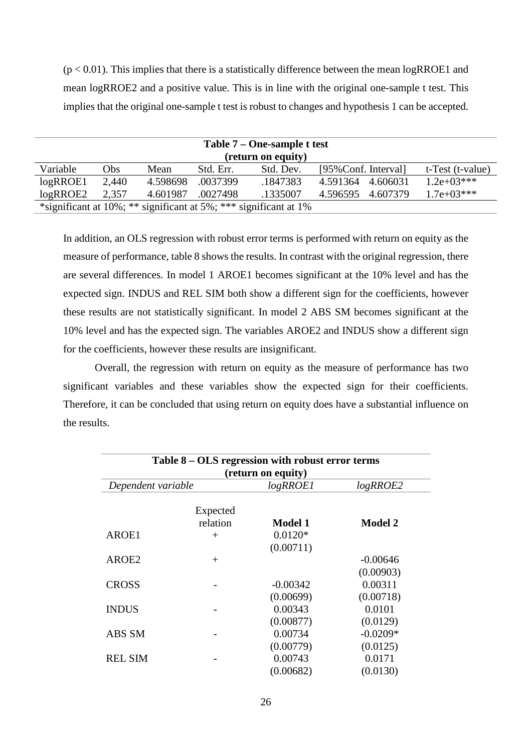$(p < 0.01)$ . This implies that there is a statistically difference between the mean logRROE1 and mean logRROE2 and a positive value. This is in line with the original one-sample t test. This implies that the original one-sample t test is robust to changes and hypothesis 1 can be accepted.

| Table 7 – One-sample t test                                              |                    |          |           |           |                      |          |                  |
|--------------------------------------------------------------------------|--------------------|----------|-----------|-----------|----------------------|----------|------------------|
|                                                                          | (return on equity) |          |           |           |                      |          |                  |
| Variable                                                                 | Obs                | Mean     | Std. Err. | Std. Dev. | [95% Conf. Interval] |          | t-Test (t-value) |
| $log$ R $ROE1$                                                           | 2,440              | 4.598698 | .0037399  | .1847383  | 4.591364             | 4.606031 | $1.2e+03***$     |
| $log$ ROE2                                                               | 2,357              | 4.601987 | .0027498  | .1335007  | 4.596595             | 4.607379 | $1.7e+03***$     |
| *significant at $10\%$ ; ** significant at $5\%$ ; *** significant at 1% |                    |          |           |           |                      |          |                  |

In addition, an OLS regression with robust error terms is performed with return on equity as the measure of performance, table 8 shows the results. In contrast with the original regression, there are several differences. In model 1 AROE1 becomes significant at the 10% level and has the expected sign. INDUS and REL SIM both show a different sign for the coefficients, however these results are not statistically significant. In model 2 ABS SM becomes significant at the 10% level and has the expected sign. The variables AROE2 and INDUS show a different sign for the coefficients, however these results are insignificant.

Overall, the regression with return on equity as the measure of performance has two significant variables and these variables show the expected sign for their coefficients. Therefore, it can be concluded that using return on equity does have a substantial influence on the results.

| Table 8 – OLS regression with robust error terms |                      |                    |                |  |  |
|--------------------------------------------------|----------------------|--------------------|----------------|--|--|
|                                                  |                      | (return on equity) |                |  |  |
| Dependent variable                               |                      | $log$ RROE1        | $log$ RROE2    |  |  |
|                                                  | Expected<br>relation | <b>Model 1</b>     | <b>Model 2</b> |  |  |
| AROE1                                            | $^{+}$               | $0.0120*$          |                |  |  |
|                                                  |                      | (0.00711)          |                |  |  |
| AROE2                                            | $^{+}$               |                    | $-0.00646$     |  |  |
|                                                  |                      |                    | (0.00903)      |  |  |
| <b>CROSS</b>                                     |                      | $-0.00342$         | 0.00311        |  |  |
|                                                  |                      | (0.00699)          | (0.00718)      |  |  |
| <b>INDUS</b>                                     |                      | 0.00343            | 0.0101         |  |  |
|                                                  |                      | (0.00877)          | (0.0129)       |  |  |
| ABS SM                                           |                      | 0.00734            | $-0.0209*$     |  |  |
|                                                  |                      | (0.00779)          | (0.0125)       |  |  |
| <b>REL SIM</b>                                   |                      | 0.00743            | 0.0171         |  |  |
|                                                  |                      | (0.00682)          | (0.0130)       |  |  |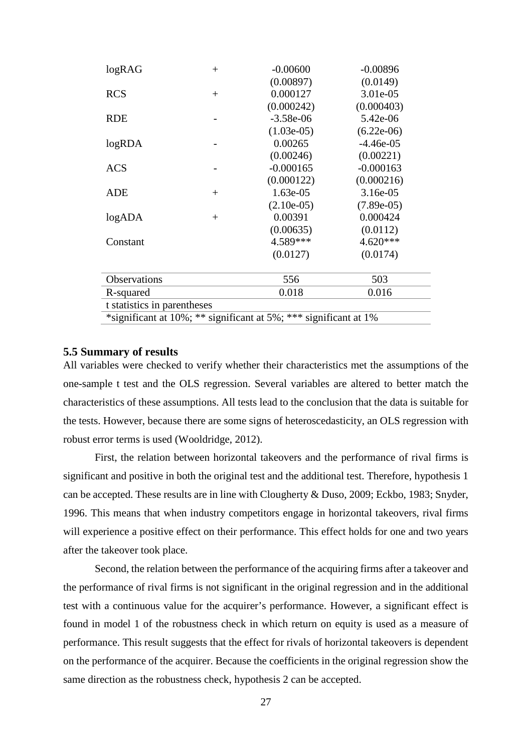| logRAG                                                           | $^{+}$ | $-0.00600$   | $-0.00896$   |  |  |  |  |
|------------------------------------------------------------------|--------|--------------|--------------|--|--|--|--|
|                                                                  |        | (0.00897)    | (0.0149)     |  |  |  |  |
| <b>RCS</b>                                                       | $+$    | 0.000127     | 3.01e-05     |  |  |  |  |
|                                                                  |        | (0.000242)   | (0.000403)   |  |  |  |  |
| <b>RDE</b>                                                       |        | $-3.58e-06$  | 5.42e-06     |  |  |  |  |
|                                                                  |        | $(1.03e-05)$ | $(6.22e-06)$ |  |  |  |  |
| logRDA                                                           |        | 0.00265      | $-4.46e-05$  |  |  |  |  |
|                                                                  |        | (0.00246)    | (0.00221)    |  |  |  |  |
| <b>ACS</b>                                                       |        | $-0.000165$  | $-0.000163$  |  |  |  |  |
|                                                                  |        | (0.000122)   | (0.000216)   |  |  |  |  |
| <b>ADE</b>                                                       | $+$    | 1.63e-05     | 3.16e-05     |  |  |  |  |
|                                                                  |        | $(2.10e-05)$ | $(7.89e-05)$ |  |  |  |  |
| logADA                                                           | $^{+}$ | 0.00391      | 0.000424     |  |  |  |  |
|                                                                  |        | (0.00635)    | (0.0112)     |  |  |  |  |
| Constant                                                         |        | 4.589***     | 4.620***     |  |  |  |  |
|                                                                  |        | (0.0127)     | (0.0174)     |  |  |  |  |
|                                                                  |        |              |              |  |  |  |  |
| Observations                                                     |        | 556          | 503          |  |  |  |  |
| R-squared                                                        |        | 0.018        | 0.016        |  |  |  |  |
| t statistics in parentheses                                      |        |              |              |  |  |  |  |
| *significant at 10%; ** significant at 5%; *** significant at 1% |        |              |              |  |  |  |  |

#### <span id="page-29-0"></span>**5.5 Summary of results**

All variables were checked to verify whether their characteristics met the assumptions of the one-sample t test and the OLS regression. Several variables are altered to better match the characteristics of these assumptions. All tests lead to the conclusion that the data is suitable for the tests. However, because there are some signs of heteroscedasticity, an OLS regression with robust error terms is used (Wooldridge, 2012).

First, the relation between horizontal takeovers and the performance of rival firms is significant and positive in both the original test and the additional test. Therefore, hypothesis 1 can be accepted. These results are in line with Clougherty & Duso, 2009; Eckbo, 1983; Snyder, 1996. This means that when industry competitors engage in horizontal takeovers, rival firms will experience a positive effect on their performance. This effect holds for one and two years after the takeover took place.

Second, the relation between the performance of the acquiring firms after a takeover and the performance of rival firms is not significant in the original regression and in the additional test with a continuous value for the acquirer's performance. However, a significant effect is found in model 1 of the robustness check in which return on equity is used as a measure of performance. This result suggests that the effect for rivals of horizontal takeovers is dependent on the performance of the acquirer. Because the coefficients in the original regression show the same direction as the robustness check, hypothesis 2 can be accepted.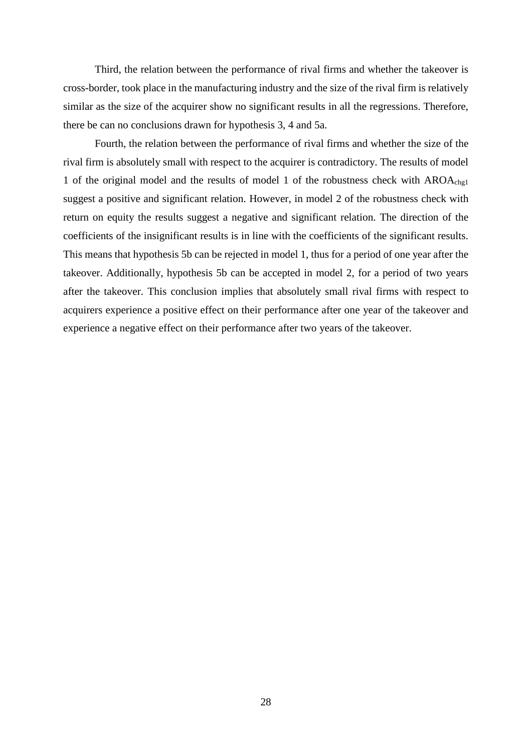Third, the relation between the performance of rival firms and whether the takeover is cross-border, took place in the manufacturing industry and the size of the rival firm is relatively similar as the size of the acquirer show no significant results in all the regressions. Therefore, there be can no conclusions drawn for hypothesis 3, 4 and 5a.

Fourth, the relation between the performance of rival firms and whether the size of the rival firm is absolutely small with respect to the acquirer is contradictory. The results of model 1 of the original model and the results of model 1 of the robustness check with AROAchg1 suggest a positive and significant relation. However, in model 2 of the robustness check with return on equity the results suggest a negative and significant relation. The direction of the coefficients of the insignificant results is in line with the coefficients of the significant results. This means that hypothesis 5b can be rejected in model 1, thus for a period of one year after the takeover. Additionally, hypothesis 5b can be accepted in model 2, for a period of two years after the takeover. This conclusion implies that absolutely small rival firms with respect to acquirers experience a positive effect on their performance after one year of the takeover and experience a negative effect on their performance after two years of the takeover.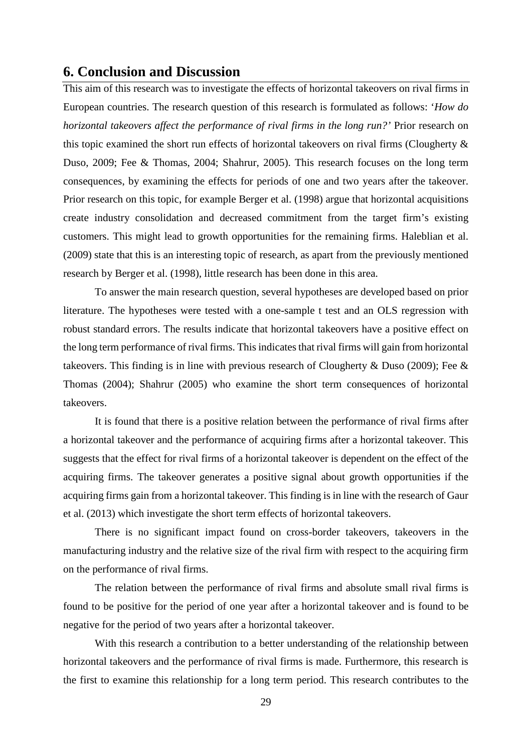### <span id="page-31-0"></span>**6. Conclusion and Discussion**

This aim of this research was to investigate the effects of horizontal takeovers on rival firms in European countries. The research question of this research is formulated as follows: '*How do horizontal takeovers affect the performance of rival firms in the long run?'* Prior research on this topic examined the short run effects of horizontal takeovers on rival firms (Clougherty & Duso, 2009; Fee & Thomas, 2004; Shahrur, 2005). This research focuses on the long term consequences, by examining the effects for periods of one and two years after the takeover. Prior research on this topic, for example Berger et al. (1998) argue that horizontal acquisitions create industry consolidation and decreased commitment from the target firm's existing customers. This might lead to growth opportunities for the remaining firms. Haleblian et al. (2009) state that this is an interesting topic of research, as apart from the previously mentioned research by Berger et al. (1998), little research has been done in this area.

To answer the main research question, several hypotheses are developed based on prior literature. The hypotheses were tested with a one-sample t test and an OLS regression with robust standard errors. The results indicate that horizontal takeovers have a positive effect on the long term performance of rival firms. This indicates that rival firms will gain from horizontal takeovers. This finding is in line with previous research of Clougherty & Duso (2009); Fee & Thomas (2004); Shahrur (2005) who examine the short term consequences of horizontal takeovers.

It is found that there is a positive relation between the performance of rival firms after a horizontal takeover and the performance of acquiring firms after a horizontal takeover. This suggests that the effect for rival firms of a horizontal takeover is dependent on the effect of the acquiring firms. The takeover generates a positive signal about growth opportunities if the acquiring firms gain from a horizontal takeover. This finding is in line with the research of Gaur et al. (2013) which investigate the short term effects of horizontal takeovers.

There is no significant impact found on cross-border takeovers, takeovers in the manufacturing industry and the relative size of the rival firm with respect to the acquiring firm on the performance of rival firms.

The relation between the performance of rival firms and absolute small rival firms is found to be positive for the period of one year after a horizontal takeover and is found to be negative for the period of two years after a horizontal takeover.

With this research a contribution to a better understanding of the relationship between horizontal takeovers and the performance of rival firms is made. Furthermore, this research is the first to examine this relationship for a long term period. This research contributes to the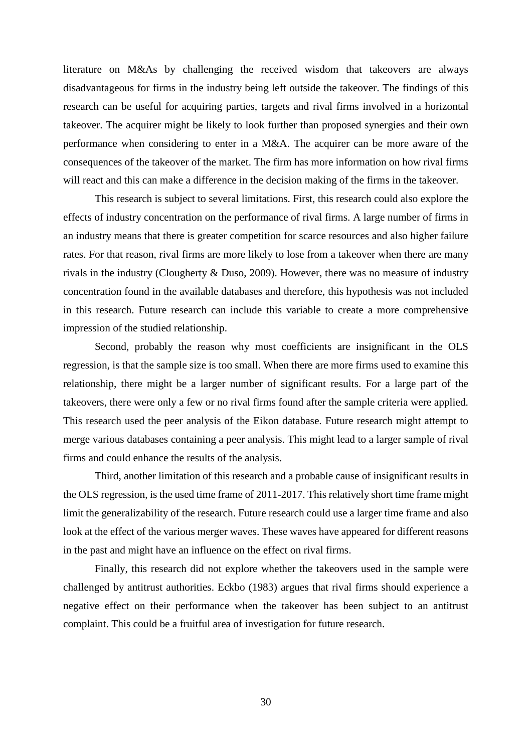literature on M&As by challenging the received wisdom that takeovers are always disadvantageous for firms in the industry being left outside the takeover. The findings of this research can be useful for acquiring parties, targets and rival firms involved in a horizontal takeover. The acquirer might be likely to look further than proposed synergies and their own performance when considering to enter in a M&A. The acquirer can be more aware of the consequences of the takeover of the market. The firm has more information on how rival firms will react and this can make a difference in the decision making of the firms in the takeover.

This research is subject to several limitations. First, this research could also explore the effects of industry concentration on the performance of rival firms. A large number of firms in an industry means that there is greater competition for scarce resources and also higher failure rates. For that reason, rival firms are more likely to lose from a takeover when there are many rivals in the industry (Clougherty & Duso, 2009). However, there was no measure of industry concentration found in the available databases and therefore, this hypothesis was not included in this research. Future research can include this variable to create a more comprehensive impression of the studied relationship.

Second, probably the reason why most coefficients are insignificant in the OLS regression, is that the sample size is too small. When there are more firms used to examine this relationship, there might be a larger number of significant results. For a large part of the takeovers, there were only a few or no rival firms found after the sample criteria were applied. This research used the peer analysis of the Eikon database. Future research might attempt to merge various databases containing a peer analysis. This might lead to a larger sample of rival firms and could enhance the results of the analysis.

Third, another limitation of this research and a probable cause of insignificant results in the OLS regression, is the used time frame of 2011-2017. This relatively short time frame might limit the generalizability of the research. Future research could use a larger time frame and also look at the effect of the various merger waves. These waves have appeared for different reasons in the past and might have an influence on the effect on rival firms.

Finally, this research did not explore whether the takeovers used in the sample were challenged by antitrust authorities. Eckbo (1983) argues that rival firms should experience a negative effect on their performance when the takeover has been subject to an antitrust complaint. This could be a fruitful area of investigation for future research.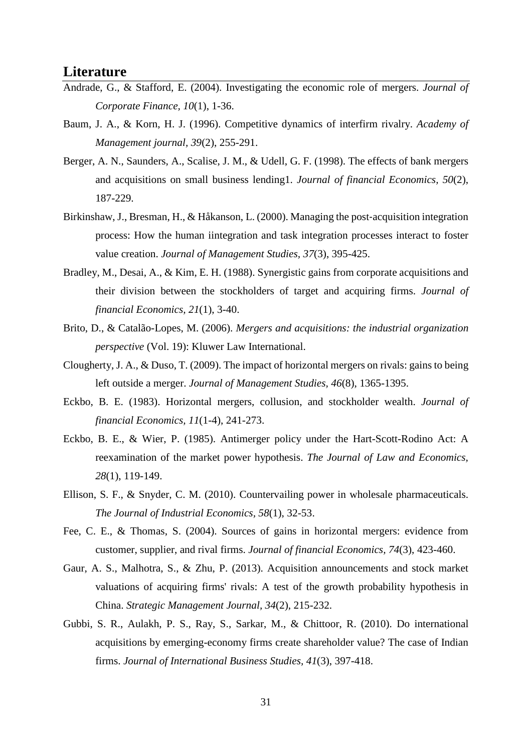### <span id="page-33-0"></span>**Literature**

- Andrade, G., & Stafford, E. (2004). Investigating the economic role of mergers. *Journal of Corporate Finance, 10*(1), 1-36.
- Baum, J. A., & Korn, H. J. (1996). Competitive dynamics of interfirm rivalry. *Academy of Management journal, 39*(2), 255-291.
- Berger, A. N., Saunders, A., Scalise, J. M., & Udell, G. F. (1998). The effects of bank mergers and acquisitions on small business lending1. *Journal of financial Economics, 50*(2), 187-229.
- Birkinshaw, J., Bresman, H., & Håkanson, L. (2000). Managing the post-acquisition integration process: How the human iintegration and task integration processes interact to foster value creation. *Journal of Management Studies, 37*(3), 395-425.
- Bradley, M., Desai, A., & Kim, E. H. (1988). Synergistic gains from corporate acquisitions and their division between the stockholders of target and acquiring firms. *Journal of financial Economics, 21*(1), 3-40.
- Brito, D., & Catalão-Lopes, M. (2006). *Mergers and acquisitions: the industrial organization perspective* (Vol. 19): Kluwer Law International.
- Clougherty, J. A., & Duso, T. (2009). The impact of horizontal mergers on rivals: gains to being left outside a merger. *Journal of Management Studies, 46*(8), 1365-1395.
- Eckbo, B. E. (1983). Horizontal mergers, collusion, and stockholder wealth. *Journal of financial Economics, 11*(1-4), 241-273.
- Eckbo, B. E., & Wier, P. (1985). Antimerger policy under the Hart-Scott-Rodino Act: A reexamination of the market power hypothesis. *The Journal of Law and Economics, 28*(1), 119-149.
- Ellison, S. F., & Snyder, C. M. (2010). Countervailing power in wholesale pharmaceuticals. *The Journal of Industrial Economics, 58*(1), 32-53.
- Fee, C. E., & Thomas, S. (2004). Sources of gains in horizontal mergers: evidence from customer, supplier, and rival firms. *Journal of financial Economics, 74*(3), 423-460.
- Gaur, A. S., Malhotra, S., & Zhu, P. (2013). Acquisition announcements and stock market valuations of acquiring firms' rivals: A test of the growth probability hypothesis in China. *Strategic Management Journal, 34*(2), 215-232.
- Gubbi, S. R., Aulakh, P. S., Ray, S., Sarkar, M., & Chittoor, R. (2010). Do international acquisitions by emerging-economy firms create shareholder value? The case of Indian firms. *Journal of International Business Studies, 41*(3), 397-418.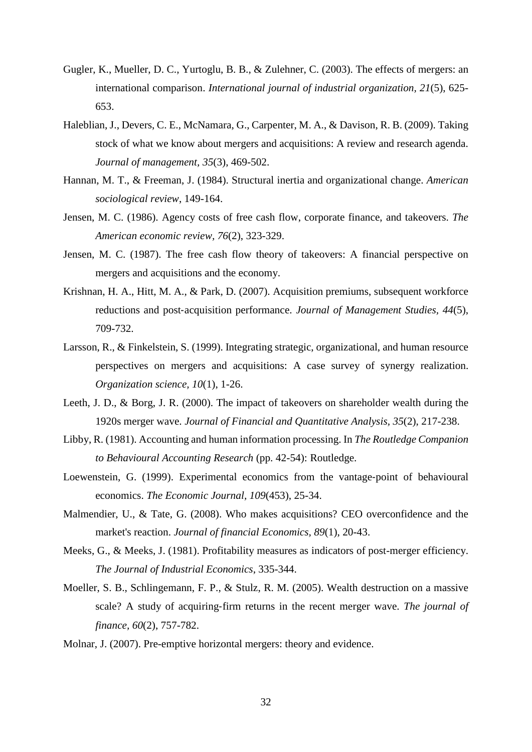- Gugler, K., Mueller, D. C., Yurtoglu, B. B., & Zulehner, C. (2003). The effects of mergers: an international comparison. *International journal of industrial organization, 21*(5), 625- 653.
- Haleblian, J., Devers, C. E., McNamara, G., Carpenter, M. A., & Davison, R. B. (2009). Taking stock of what we know about mergers and acquisitions: A review and research agenda. *Journal of management, 35*(3), 469-502.
- Hannan, M. T., & Freeman, J. (1984). Structural inertia and organizational change. *American sociological review*, 149-164.
- Jensen, M. C. (1986). Agency costs of free cash flow, corporate finance, and takeovers. *The American economic review, 76*(2), 323-329.
- Jensen, M. C. (1987). The free cash flow theory of takeovers: A financial perspective on mergers and acquisitions and the economy.
- Krishnan, H. A., Hitt, M. A., & Park, D. (2007). Acquisition premiums, subsequent workforce reductions and post‐acquisition performance. *Journal of Management Studies, 44*(5), 709-732.
- Larsson, R., & Finkelstein, S. (1999). Integrating strategic, organizational, and human resource perspectives on mergers and acquisitions: A case survey of synergy realization. *Organization science, 10*(1), 1-26.
- Leeth, J. D., & Borg, J. R. (2000). The impact of takeovers on shareholder wealth during the 1920s merger wave. *Journal of Financial and Quantitative Analysis, 35*(2), 217-238.
- Libby, R. (1981). Accounting and human information processing. In *The Routledge Companion to Behavioural Accounting Research* (pp. 42-54): Routledge.
- Loewenstein, G. (1999). Experimental economics from the vantage-point of behavioural economics. *The Economic Journal, 109*(453), 25-34.
- Malmendier, U., & Tate, G. (2008). Who makes acquisitions? CEO overconfidence and the market's reaction. *Journal of financial Economics, 89*(1), 20-43.
- Meeks, G., & Meeks, J. (1981). Profitability measures as indicators of post-merger efficiency. *The Journal of Industrial Economics*, 335-344.
- Moeller, S. B., Schlingemann, F. P., & Stulz, R. M. (2005). Wealth destruction on a massive scale? A study of acquiring‐firm returns in the recent merger wave. *The journal of finance, 60*(2), 757-782.
- Molnar, J. (2007). Pre-emptive horizontal mergers: theory and evidence.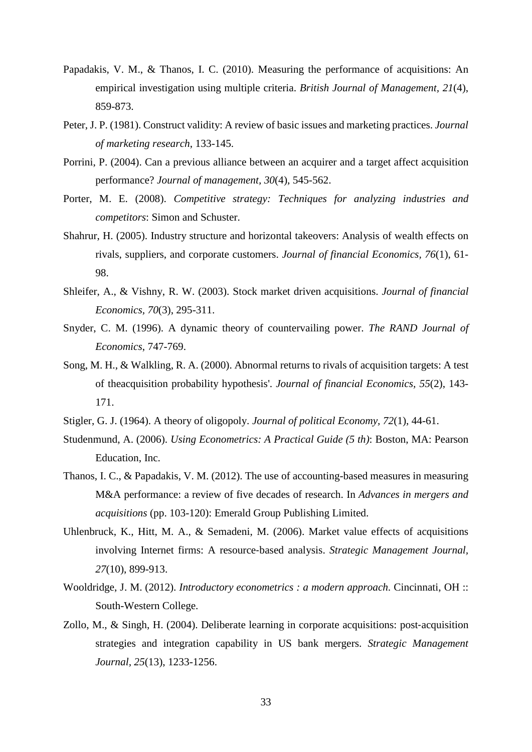- Papadakis, V. M., & Thanos, I. C. (2010). Measuring the performance of acquisitions: An empirical investigation using multiple criteria. *British Journal of Management, 21*(4), 859-873.
- Peter, J. P. (1981). Construct validity: A review of basic issues and marketing practices. *Journal of marketing research*, 133-145.
- Porrini, P. (2004). Can a previous alliance between an acquirer and a target affect acquisition performance? *Journal of management, 30*(4), 545-562.
- Porter, M. E. (2008). *Competitive strategy: Techniques for analyzing industries and competitors*: Simon and Schuster.
- Shahrur, H. (2005). Industry structure and horizontal takeovers: Analysis of wealth effects on rivals, suppliers, and corporate customers. *Journal of financial Economics, 76*(1), 61- 98.
- Shleifer, A., & Vishny, R. W. (2003). Stock market driven acquisitions. *Journal of financial Economics, 70*(3), 295-311.
- Snyder, C. M. (1996). A dynamic theory of countervailing power. *The RAND Journal of Economics*, 747-769.
- Song, M. H., & Walkling, R. A. (2000). Abnormal returns to rivals of acquisition targets: A test of theacquisition probability hypothesis'. *Journal of financial Economics, 55*(2), 143- 171.
- Stigler, G. J. (1964). A theory of oligopoly. *Journal of political Economy, 72*(1), 44-61.
- Studenmund, A. (2006). *Using Econometrics: A Practical Guide (5 th)*: Boston, MA: Pearson Education, Inc.
- Thanos, I. C., & Papadakis, V. M. (2012). The use of accounting-based measures in measuring M&A performance: a review of five decades of research. In *Advances in mergers and acquisitions* (pp. 103-120): Emerald Group Publishing Limited.
- Uhlenbruck, K., Hitt, M. A., & Semadeni, M. (2006). Market value effects of acquisitions involving Internet firms: A resource‐based analysis. *Strategic Management Journal, 27*(10), 899-913.
- Wooldridge, J. M. (2012). *Introductory econometrics : a modern approach*. Cincinnati, OH :: South-Western College.
- Zollo, M., & Singh, H. (2004). Deliberate learning in corporate acquisitions: post-acquisition strategies and integration capability in US bank mergers. *Strategic Management Journal, 25*(13), 1233-1256.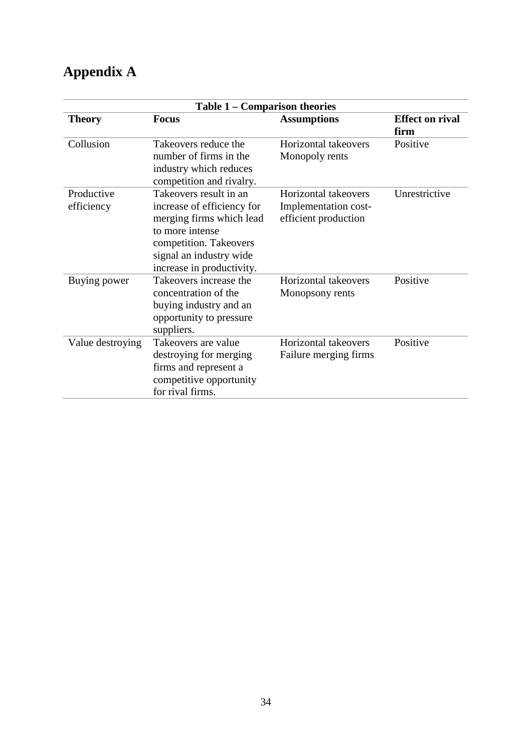## <span id="page-36-0"></span>**Appendix A**

|                          | Table 1 – Comparison theories                                                                                                                                                         |                                                                      |                                |  |  |  |  |  |
|--------------------------|---------------------------------------------------------------------------------------------------------------------------------------------------------------------------------------|----------------------------------------------------------------------|--------------------------------|--|--|--|--|--|
| <b>Theory</b>            | <b>Focus</b>                                                                                                                                                                          | <b>Assumptions</b>                                                   | <b>Effect on rival</b><br>firm |  |  |  |  |  |
| Collusion                | Takeovers reduce the<br>number of firms in the<br>industry which reduces<br>competition and rivalry.                                                                                  | Horizontal takeovers<br>Monopoly rents                               | Positive                       |  |  |  |  |  |
| Productive<br>efficiency | Takeovers result in an<br>increase of efficiency for<br>merging firms which lead<br>to more intense<br>competition. Takeovers<br>signal an industry wide<br>increase in productivity. | Horizontal takeovers<br>Implementation cost-<br>efficient production | Unrestrictive                  |  |  |  |  |  |
| Buying power             | Takeovers increase the<br>concentration of the<br>buying industry and an<br>opportunity to pressure<br>suppliers.                                                                     | Horizontal takeovers<br>Monopsony rents                              | Positive                       |  |  |  |  |  |
| Value destroying         | Takeovers are value<br>destroying for merging<br>firms and represent a<br>competitive opportunity<br>for rival firms.                                                                 | Horizontal takeovers<br>Failure merging firms                        | Positive                       |  |  |  |  |  |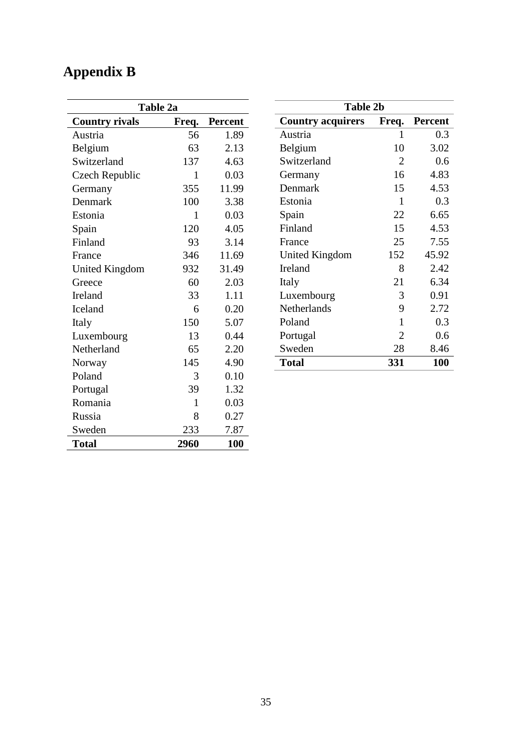# <span id="page-37-0"></span>**Appendix B**

| Table 2a              |              |         |  |  |  |  |
|-----------------------|--------------|---------|--|--|--|--|
| <b>Country rivals</b> | Freq.        | Percent |  |  |  |  |
| Austria               | 56           | 1.89    |  |  |  |  |
| Belgium               | 63           | 2.13    |  |  |  |  |
| Switzerland           | 137          | 4.63    |  |  |  |  |
| Czech Republic        | 1            | 0.03    |  |  |  |  |
| Germany               | 355          | 11.99   |  |  |  |  |
| Denmark               | 100          | 3.38    |  |  |  |  |
| Estonia               | 1            | 0.03    |  |  |  |  |
| Spain                 | 120          | 4.05    |  |  |  |  |
| Finland               | 93           | 3.14    |  |  |  |  |
| France                | 346          | 11.69   |  |  |  |  |
| <b>United Kingdom</b> | 932          | 31.49   |  |  |  |  |
| Greece                | 60           | 2.03    |  |  |  |  |
| Ireland               | 33           | 1.11    |  |  |  |  |
| Iceland               | 6            | 0.20    |  |  |  |  |
| Italy                 | 150          | 5.07    |  |  |  |  |
| Luxembourg            | 13           | 0.44    |  |  |  |  |
| Netherland            | 65           | 2.20    |  |  |  |  |
| Norway                | 145          | 4.90    |  |  |  |  |
| Poland                | 3            | 0.10    |  |  |  |  |
| Portugal              | 39           | 1.32    |  |  |  |  |
| Romania               | $\mathbf{1}$ | 0.03    |  |  |  |  |
| Russia                | 8            | 0.27    |  |  |  |  |
| Sweden                | 233          | 7.87    |  |  |  |  |
| <b>Total</b>          | 2960         | 100     |  |  |  |  |

| <b>Table 2b</b>          |                         |            |  |  |  |  |  |  |  |  |
|--------------------------|-------------------------|------------|--|--|--|--|--|--|--|--|
| <b>Country acquirers</b> | Freq.<br><b>Percent</b> |            |  |  |  |  |  |  |  |  |
| Austria                  | 1                       | 0.3        |  |  |  |  |  |  |  |  |
| Belgium                  | 10                      | 3.02       |  |  |  |  |  |  |  |  |
| Switzerland              | 2                       | 0.6        |  |  |  |  |  |  |  |  |
| Germany                  | 16                      | 4.83       |  |  |  |  |  |  |  |  |
| Denmark                  | 15                      | 4.53       |  |  |  |  |  |  |  |  |
| Estonia                  | 1                       | 0.3        |  |  |  |  |  |  |  |  |
| Spain                    | 22                      | 6.65       |  |  |  |  |  |  |  |  |
| Finland                  | 15                      | 4.53       |  |  |  |  |  |  |  |  |
| France                   | 25                      | 7.55       |  |  |  |  |  |  |  |  |
| United Kingdom           | 152                     | 45.92      |  |  |  |  |  |  |  |  |
| <b>Ireland</b>           | 8                       | 2.42       |  |  |  |  |  |  |  |  |
| Italy                    | 21                      | 6.34       |  |  |  |  |  |  |  |  |
| Luxembourg               | 3                       | 0.91       |  |  |  |  |  |  |  |  |
| Netherlands              | 9                       | 2.72       |  |  |  |  |  |  |  |  |
| Poland                   | 1                       | 0.3        |  |  |  |  |  |  |  |  |
| Portugal                 | 2                       | 0.6        |  |  |  |  |  |  |  |  |
| Sweden                   | 28                      | 8.46       |  |  |  |  |  |  |  |  |
| <b>Total</b>             | 331                     | <b>100</b> |  |  |  |  |  |  |  |  |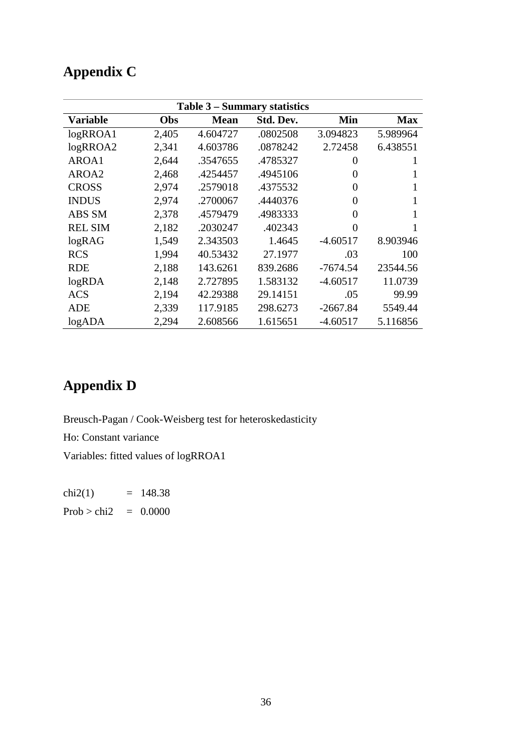## <span id="page-38-0"></span>**Appendix C**

| Table 3 – Summary statistics |       |             |           |                |            |  |  |  |
|------------------------------|-------|-------------|-----------|----------------|------------|--|--|--|
| <b>Variable</b>              | Obs   | <b>Mean</b> | Std. Dev. | Min            | <b>Max</b> |  |  |  |
| logRROA1                     | 2,405 | 4.604727    | .0802508  | 3.094823       | 5.989964   |  |  |  |
| logRROA2                     | 2,341 | 4.603786    | .0878242  | 2.72458        | 6.438551   |  |  |  |
| AROA1                        | 2,644 | .3547655    | .4785327  | $\overline{0}$ | 1          |  |  |  |
| AROA2                        | 2,468 | .4254457    | .4945106  | $\overline{0}$ |            |  |  |  |
| <b>CROSS</b>                 | 2,974 | .2579018    | .4375532  | $\Omega$       |            |  |  |  |
| <b>INDUS</b>                 | 2,974 | .2700067    | .4440376  | $\theta$       |            |  |  |  |
| ABS SM                       | 2,378 | .4579479    | .4983333  | $\overline{0}$ |            |  |  |  |
| <b>REL SIM</b>               | 2,182 | .2030247    | .402343   | $\theta$       |            |  |  |  |
| logRAG                       | 1,549 | 2.343503    | 1.4645    | $-4.60517$     | 8.903946   |  |  |  |
| <b>RCS</b>                   | 1,994 | 40.53432    | 27.1977   | .03            | 100        |  |  |  |
| <b>RDE</b>                   | 2,188 | 143.6261    | 839.2686  | $-7674.54$     | 23544.56   |  |  |  |
| logRDA                       | 2,148 | 2.727895    | 1.583132  | $-4.60517$     | 11.0739    |  |  |  |
| <b>ACS</b>                   | 2,194 | 42.29388    | 29.14151  | .05            | 99.99      |  |  |  |
| <b>ADE</b>                   | 2,339 | 117.9185    | 298.6273  | $-2667.84$     | 5549.44    |  |  |  |
| logADA                       | 2,294 | 2.608566    | 1.615651  | $-4.60517$     | 5.116856   |  |  |  |

## <span id="page-38-1"></span>**Appendix D**

Breusch-Pagan / Cook-Weisberg test for heteroskedasticity Ho: Constant variance Variables: fitted values of logRROA1

chi2(1)  $= 148.38$ Prob > chi2 =  $0.0000$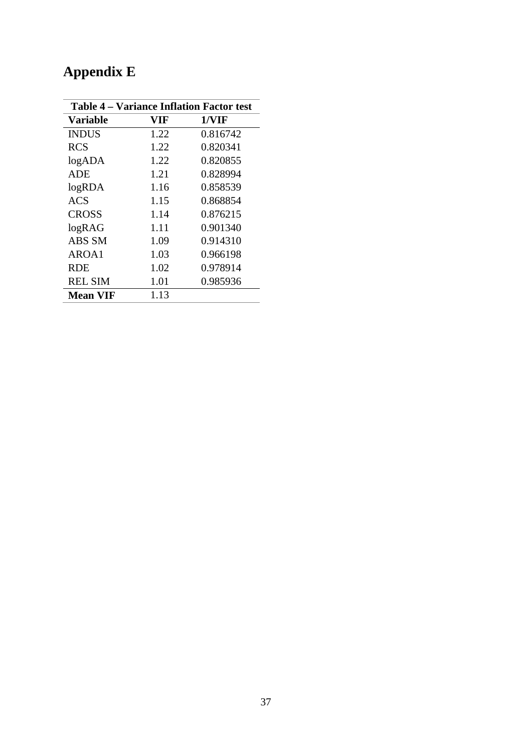| <b>Table 4 – Variance Inflation Factor test</b> |      |          |  |  |  |  |
|-------------------------------------------------|------|----------|--|--|--|--|
| <b>Variable</b>                                 | VIF  | 1/VIF    |  |  |  |  |
| <b>INDUS</b>                                    | 1.22 | 0.816742 |  |  |  |  |
| <b>RCS</b>                                      | 1.22 | 0.820341 |  |  |  |  |
| logADA                                          | 1.22 | 0.820855 |  |  |  |  |
| <b>ADE</b>                                      | 1.21 | 0.828994 |  |  |  |  |
| logRDA                                          | 1.16 | 0.858539 |  |  |  |  |
| <b>ACS</b>                                      | 1.15 | 0.868854 |  |  |  |  |
| <b>CROSS</b>                                    | 1.14 | 0.876215 |  |  |  |  |
| logRAG                                          | 1.11 | 0.901340 |  |  |  |  |
| ABS SM                                          | 1.09 | 0.914310 |  |  |  |  |
| AROA1                                           | 1.03 | 0.966198 |  |  |  |  |
| <b>RDE</b>                                      | 1.02 | 0.978914 |  |  |  |  |
| <b>REL SIM</b>                                  | 1.01 | 0.985936 |  |  |  |  |
| <b>Mean VIF</b>                                 | 1.13 |          |  |  |  |  |

# <span id="page-39-0"></span>**Appendix E**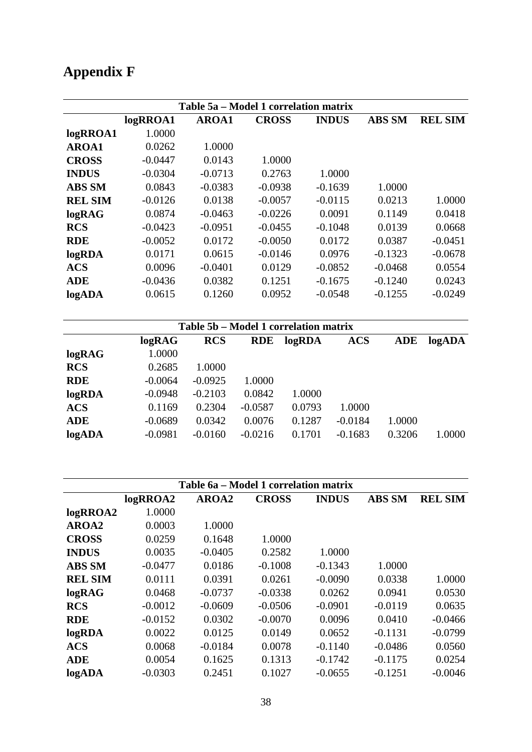# <span id="page-40-0"></span>**Appendix F**

| Table 5a – Model 1 correlation matrix |           |              |              |              |                          |                |  |  |
|---------------------------------------|-----------|--------------|--------------|--------------|--------------------------|----------------|--|--|
|                                       | logRROA1  | <b>AROA1</b> | <b>CROSS</b> | <b>INDUS</b> | <b>ABS SM</b>            | <b>REL SIM</b> |  |  |
| logRROA1                              | 1.0000    |              |              |              |                          |                |  |  |
| <b>AROA1</b>                          | 0.0262    | 1.0000       |              |              |                          |                |  |  |
| <b>CROSS</b>                          | $-0.0447$ | 0.0143       | 1.0000       |              |                          |                |  |  |
| <b>INDUS</b>                          | $-0.0304$ | $-0.0713$    | 0.2763       | 1.0000       |                          |                |  |  |
| <b>ABS SM</b>                         | 0.0843    | $-0.0383$    | $-0.0938$    | $-0.1639$    | 1.0000                   |                |  |  |
| <b>REL SIM</b>                        | $-0.0126$ | 0.0138       | $-0.0057$    | $-0.0115$    | 0.0213                   | 1.0000         |  |  |
| logRAG                                | 0.0874    | $-0.0463$    | $-0.0226$    | 0.0091       | 0.1149                   | 0.0418         |  |  |
| <b>RCS</b>                            | $-0.0423$ | $-0.0951$    | $-0.0455$    | $-0.1048$    | 0.0139                   | 0.0668         |  |  |
| <b>RDE</b>                            | $-0.0052$ | 0.0172       | $-0.0050$    | 0.0172       | 0.0387                   | $-0.0451$      |  |  |
| logRDA                                | 0.0171    | 0.0615       | $-0.0146$    | 0.0976       | $-0.1323$                | $-0.0678$      |  |  |
| <b>ACS</b>                            | 0.0096    | $-0.0401$    | 0.0129       | $-0.0852$    | $-0.0468$                | 0.0554         |  |  |
| <b>ADE</b>                            | $-0.0436$ | 0.0382       | 0.1251       | $-0.1675$    | $-0.1240$                | 0.0243         |  |  |
| logADA                                | 0.0615    | 0.1260       | 0.0952       | $-0.0548$    | $-0.1255$                | $-0.0249$      |  |  |
| Table 5b - Model 1 correlation matrix |           |              |              |              |                          |                |  |  |
|                                       | logRAG    | <b>RCS</b>   | <b>RDE</b>   | logRDA       | <b>ACS</b><br><b>ADE</b> | logADA         |  |  |

| logRAG     | 1.0000    |           |           |        |           |        |        |
|------------|-----------|-----------|-----------|--------|-----------|--------|--------|
| <b>RCS</b> | 0.2685    | 1.0000    |           |        |           |        |        |
| <b>RDE</b> | $-0.0064$ | $-0.0925$ | 1.0000    |        |           |        |        |
| logRDA     | $-0.0948$ | $-0.2103$ | 0.0842    | 1.0000 |           |        |        |
| <b>ACS</b> | 0.1169    | 0.2304    | $-0.0587$ | 0.0793 | 1.0000    |        |        |
| <b>ADE</b> | $-0.0689$ | 0.0342    | 0.0076    | 0.1287 | $-0.0184$ | 1.0000 |        |
| logADA     | $-0.0981$ | $-0.0160$ | $-0.0216$ | 0.1701 | $-0.1683$ | 0.3206 | 1.0000 |
|            |           |           |           |        |           |        |        |

| Table 6a – Model 1 correlation matrix |           |           |              |              |               |                |  |
|---------------------------------------|-----------|-----------|--------------|--------------|---------------|----------------|--|
|                                       | logRROA2  | AROA2     | <b>CROSS</b> | <b>INDUS</b> | <b>ABS SM</b> | <b>REL SIM</b> |  |
| logRROA2                              | 1.0000    |           |              |              |               |                |  |
| AROA2                                 | 0.0003    | 1.0000    |              |              |               |                |  |
| <b>CROSS</b>                          | 0.0259    | 0.1648    | 1.0000       |              |               |                |  |
| <b>INDUS</b>                          | 0.0035    | $-0.0405$ | 0.2582       | 1.0000       |               |                |  |
| <b>ABS SM</b>                         | $-0.0477$ | 0.0186    | $-0.1008$    | $-0.1343$    | 1.0000        |                |  |
| <b>REL SIM</b>                        | 0.0111    | 0.0391    | 0.0261       | $-0.0090$    | 0.0338        | 1.0000         |  |
| logRAG                                | 0.0468    | $-0.0737$ | $-0.0338$    | 0.0262       | 0.0941        | 0.0530         |  |
| <b>RCS</b>                            | $-0.0012$ | $-0.0609$ | $-0.0506$    | $-0.0901$    | $-0.0119$     | 0.0635         |  |
| <b>RDE</b>                            | $-0.0152$ | 0.0302    | $-0.0070$    | 0.0096       | 0.0410        | $-0.0466$      |  |
| logRDA                                | 0.0022    | 0.0125    | 0.0149       | 0.0652       | $-0.1131$     | $-0.0799$      |  |
| <b>ACS</b>                            | 0.0068    | $-0.0184$ | 0.0078       | $-0.1140$    | $-0.0486$     | 0.0560         |  |
| <b>ADE</b>                            | 0.0054    | 0.1625    | 0.1313       | $-0.1742$    | $-0.1175$     | 0.0254         |  |
| logADA                                | $-0.0303$ | 0.2451    | 0.1027       | $-0.0655$    | $-0.1251$     | $-0.0046$      |  |